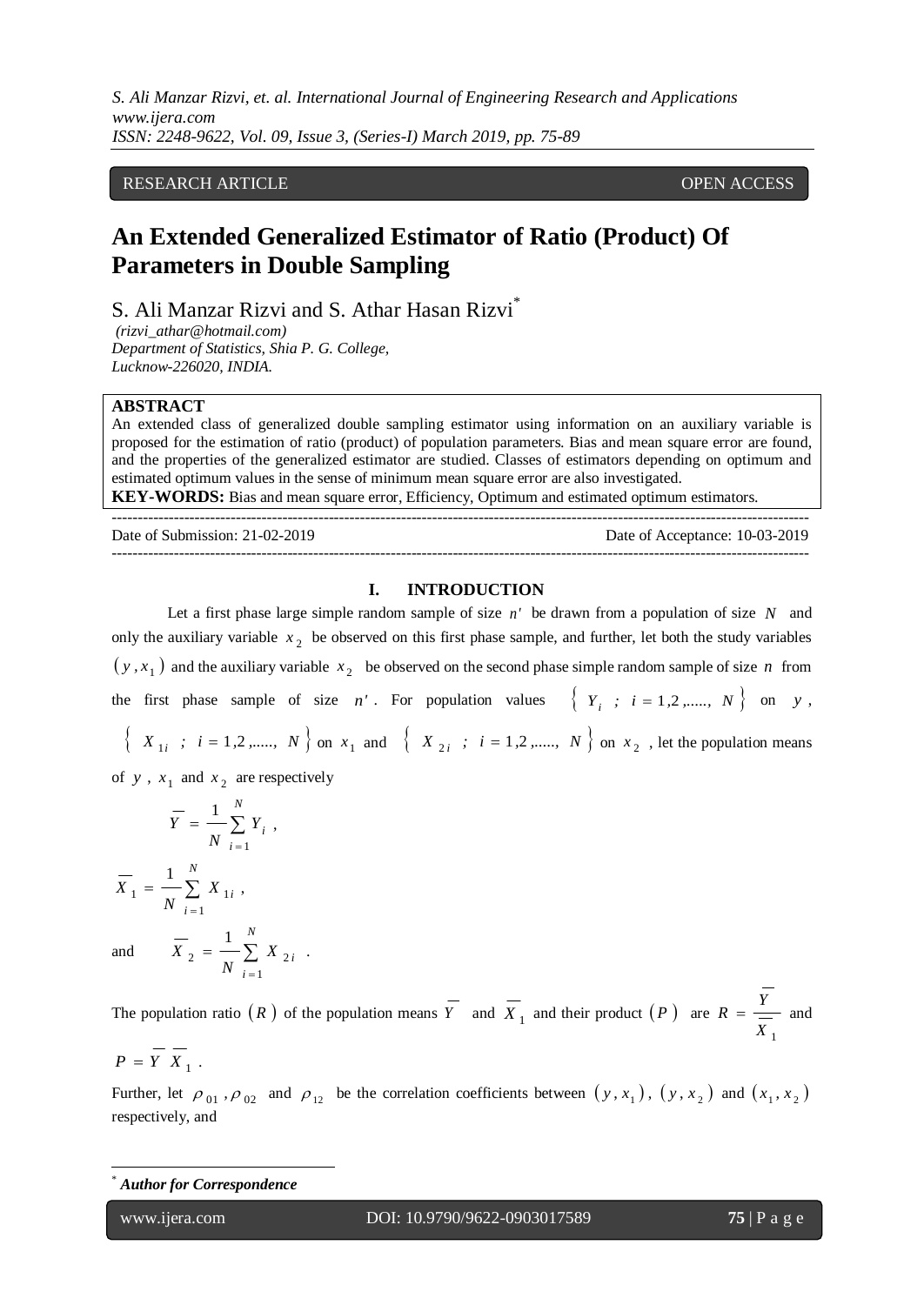*S. Ali Manzar Rizvi, et. al. International Journal of Engineering Research and Applications www.ijera.com ISSN: 2248-9622, Vol. 09, Issue 3, (Series-I) March 2019, pp. 75-89*

## RESEARCH ARTICLE **ARTICLE** And the set of the set of the set of the set of the set of the set of the set of the set of the set of the set of the set of the set of the set of the set of the set of the set of the set of the

# **An Extended Generalized Estimator of Ratio (Product) Of Parameters in Double Sampling**

S. Ali Manzar Rizvi and S. Athar Hasan Rizvi<sup>\*</sup>

*(rizvi\_athar@hotmail.com) Department of Statistics, Shia P. G. College, Lucknow-226020, INDIA.*

## **ABSTRACT**

An extended class of generalized double sampling estimator using information on an auxiliary variable is proposed for the estimation of ratio (product) of population parameters. Bias and mean square error are found, and the properties of the generalized estimator are studied. Classes of estimators depending on optimum and estimated optimum values in the sense of minimum mean square error are also investigated. **KEY-WORDS:** Bias and mean square error, Efficiency, Optimum and estimated optimum estimators.

--------------------------------------------------------------------------------------------------------------------------------------- Date of Submission: 21-02-2019 Date of Acceptance: 10-03-2019 ---------------------------------------------------------------------------------------------------------------------------------------

#### **I. INTRODUCTION**

Let a first phase large simple random sample of size  $n'$  be drawn from a population of size  $N$  and only the auxiliary variable 2 *x* be observed on this first phase sample, and further, let both the study variables  $(y, x<sub>1</sub>)$  and the auxiliary variable  $x<sub>2</sub>$  be observed on the second phase simple random sample of size *n* from the first phase sample of size *n'*. For population values  $\{Y_i : i = 1, 2, \dots, N\}$  on y,

 $\left\{ X_{1i} : i = 1, 2, \dots, N \right\}$  on  $x_1$  and  $\left\{ X_{2i} : i = 1, 2, \dots, N \right\}$  on  $x_2$ , let the population means

of y,  $x_1$  and  $x_2$  are respectively

$$
\overline{Y} = \frac{1}{N} \sum_{i=1}^{N} Y_i ,
$$

 $=$ 

 $\sum$ =

1 2  $\sim$   $\sim$   $\sim$   $\sim$  2 1

*i X*

.

*i*

*N*

*N*

 $\sum$  $=$  $=$ *N i i X N X* 1  $1 - \sum \Delta^{A} 1$ 1 ,

*X*

and

The population ratio  $(R)$  of the population means  $Y$  and  $X_1$  and their product  $(P)$  are 1 *X Y*  $R = \underline{\hspace{2cm}}$  and

$$
P = Y X_1.
$$

Further, let  $\rho_{01}$ ,  $\rho_{02}$  and  $\rho_{12}$  be the correlation coefficients between  $(y, x_1)$ ,  $(y, x_2)$  and  $(x_1, x_2)$ respectively, and

l

<u>.</u>

**Author for Correspondence**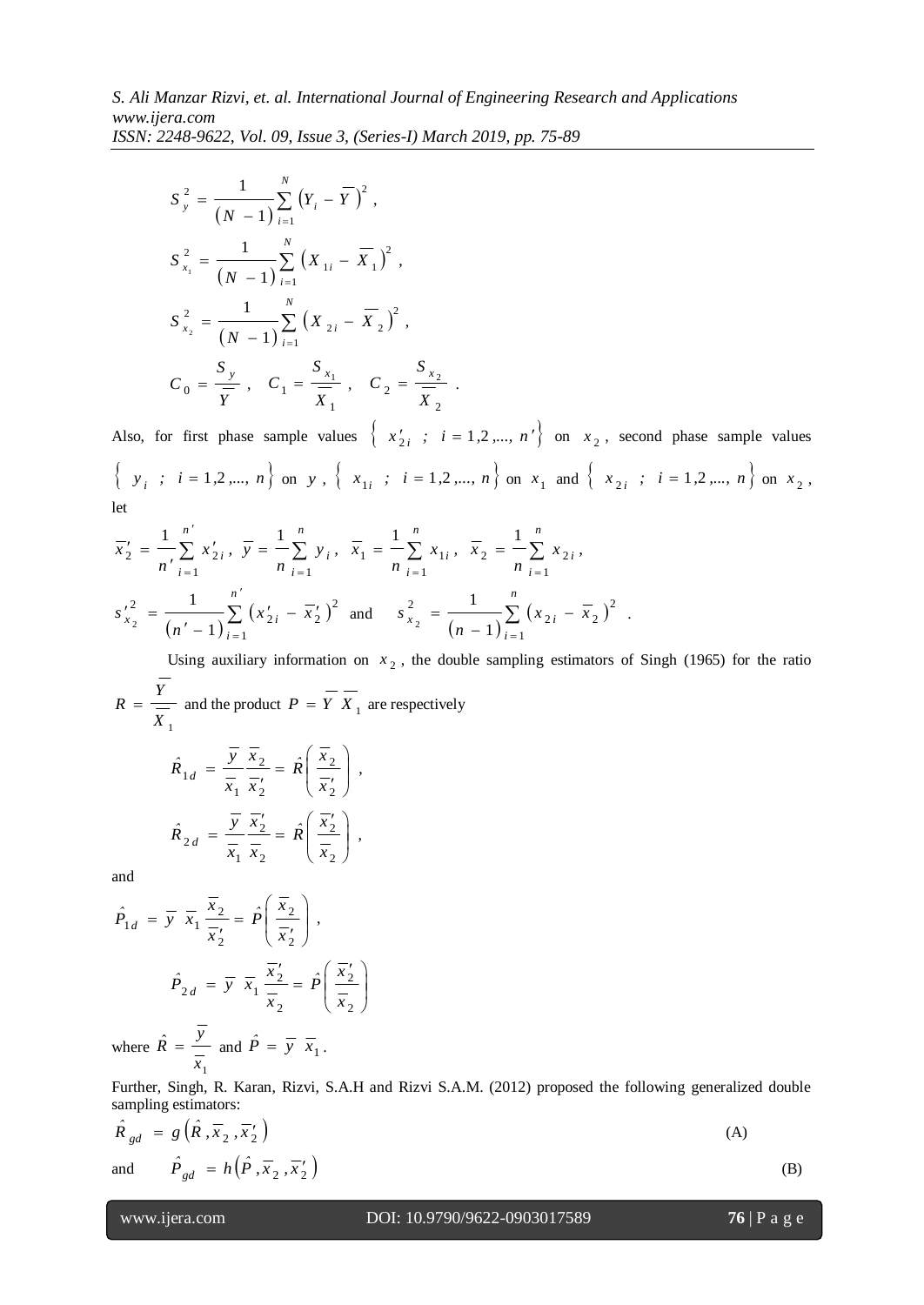$$
S_{y}^{2} = \frac{1}{(N-1)} \sum_{i=1}^{N} (Y_{i} - \overline{Y})^{2},
$$
  
\n
$$
S_{x_{1}}^{2} = \frac{1}{(N-1)} \sum_{i=1}^{N} (X_{1i} - \overline{X}_{1})^{2},
$$
  
\n
$$
S_{x_{2}}^{2} = \frac{1}{(N-1)} \sum_{i=1}^{N} (X_{2i} - \overline{X}_{2})^{2},
$$
  
\n
$$
C_{0} = \frac{S_{y}}{\overline{Y}}, \quad C_{1} = \frac{S_{x_{1}}}{\overline{X}_{1}}, \quad C_{2} = \frac{S_{x_{2}}}{\overline{X}_{2}}.
$$

Also, for first phase sample values  $\{x'_{2i} : i = 1, 2, ..., n'\}$  on  $x_2$ , second phase sample values  $\{y_i : i = 1, 2, ..., n\}$  on y,  $\{x_{1i} : i = 1, 2, ..., n\}$  on  $x_1$  and  $\{x_{2i} : i = 1, 2, ..., n\}$  on  $x_2$ , let

$$
\overline{x}_2' = \frac{1}{n'} \sum_{i=1}^{n'} x_{2i}', \ \overline{y} = \frac{1}{n} \sum_{i=1}^{n} y_i, \ \overline{x}_1 = \frac{1}{n} \sum_{i=1}^{n} x_{1i}, \ \overline{x}_2 = \frac{1}{n} \sum_{i=1}^{n} x_{2i},
$$
  

$$
s_{x_2}'^2 = \frac{1}{(n'-1)} \sum_{i=1}^{n'} (x_{2i}' - \overline{x}_2')^2 \text{ and } s_{x_2}^2 = \frac{1}{(n-1)} \sum_{i=1}^{n} (x_{2i} - \overline{x}_2)^2
$$

Using auxiliary information on  $x<sub>2</sub>$ , the double sampling estimators of Singh (1965) for the ratio 1 *X Y*  $R = \frac{1}{\sqrt{2}}$  and the product  $P = Y X_1$  are respectively

.

$$
\hat{R}_{1d} = \frac{\overline{y}}{\overline{x}_1} \frac{\overline{x}_2}{\overline{x}_2'} = \hat{R} \left( \frac{\overline{x}_2}{\overline{x}_2'} \right),
$$
  

$$
\hat{R}_{2d} = \frac{\overline{y}}{\overline{x}_1} \frac{\overline{x}_2'}{\overline{x}_2} = \hat{R} \left( \frac{\overline{x}_2'}{\overline{x}_2} \right),
$$

and

$$
\hat{P}_{1d} = \overline{y} \ \overline{x}_1 \frac{\overline{x}_2}{\overline{x}_2'} = \hat{P}\left(\frac{\overline{x}_2}{\overline{x}_2'}\right),
$$
\n
$$
\hat{P}_{2d} = \overline{y} \ \overline{x}_1 \frac{\overline{x}_2'}{\overline{x}_2} = \hat{P}\left(\frac{\overline{x}_2'}{\overline{x}_2}\right)
$$

where 1 ˆ *x y*  $\hat{R} = \frac{y}{\underline{y}}$  and  $\hat{P} = \overline{y} \overline{x}_1$ .

Further, Singh, R. Karan, Rizvi, S.A.H and Rizvi S.A.M. (2012) proposed the following generalized double sampling estimators:

$$
\hat{R}_{gd} = g\left(\hat{R}, \overline{x}_2, \overline{x}_2'\right)
$$
\nand

\n
$$
\hat{P}_{gd} = h\left(\hat{P}, \overline{x}_2, \overline{x}_2'\right)
$$
\n(A)

\n(B)

$$
76 \mid P \text{ a } \text{g } e
$$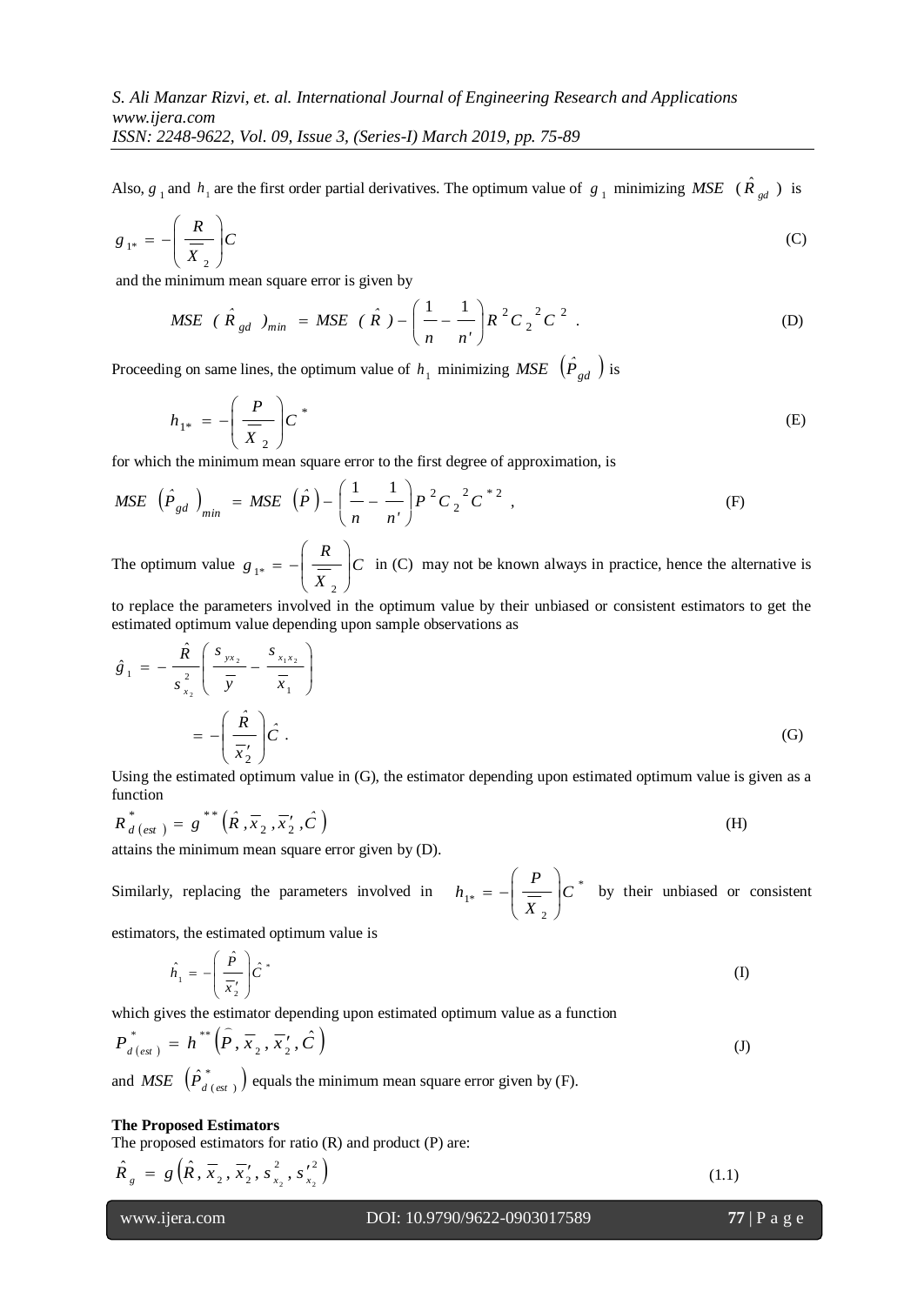Also,  $g_1$  and  $h_1$  are the first order partial derivatives. The optimum value of  $g_1$  minimizing MSE  $(\hat{R}_{gd})$  is

$$
g_{1^*} = -\left(\frac{R}{\overline{X}_2}\right)C\tag{C}
$$

and the minimum mean square error is given by

$$
MSE \ \ (\ \hat{R}_{gd} \ )_{min} = MSE \ \ (\ \hat{R} \ ) - \left(\frac{1}{n} - \frac{1}{n'}\right) R^2 C_2^2 C^2 \ . \tag{D}
$$

Proceeding on same lines, the optimum value of  $h_1$  minimizing *MSE*  $(\hat{P}_{gd})$  is

$$
h_{1^*} = -\left(\frac{P}{\overline{X}_2}\right)C^* \tag{E}
$$

for which the minimum mean square error to the first degree of approximation, is

$$
MSE\left(\hat{P}_{gd}\right)_{min} = MSE\left(\hat{P}\right) - \left(\frac{1}{n} - \frac{1}{n'}\right)P^2C_2^{-2}C^{2} ,\tag{F}
$$

The optimum value  $g_{1*} = -\frac{1}{2}$ *X R*  $g_{1^*} = -\frac{1}{\sqrt{V}}$ J  $\backslash$  $\overline{\phantom{a}}$ J ſ  $=$   $-$ 2  $\mu_{1*} = -\frac{1}{\sigma_{1}}$   $\sigma_{2*}$  in (C) may not be known always in practice, hence the alternative is

to replace the parameters involved in the optimum value by their unbiased or consistent estimators to get the estimated optimum value depending upon sample observations as

$$
\hat{g}_1 = -\frac{\hat{R}}{s_{x_2}^2} \left( \frac{s_{yx_2}}{\overline{y}} - \frac{s_{x_1x_2}}{\overline{x}_1} \right)
$$

$$
= -\left( \frac{\hat{R}}{\overline{x}_2'} \right) \hat{C} . \tag{G}
$$

Using the estimated optimum value in (G), the estimator depending upon estimated optimum value is given as a function

$$
R_{d\, (est\,)}^* = g^{**}\left(\hat{R}, \overline{x}_2, \overline{x}'_2, \hat{C}\right) \tag{H}
$$

attains the minimum mean square error given by (D).

Similarly, replacing the parameters involved in \* 2  $_1^* = -\frac{\overline{}}{2}$   $C$ *X P*  $h_{1*} = -\frac{1}{\sqrt{V}}$ Ј ो  $\overline{\phantom{a}}$  $\setminus$ ſ  $\vert b \vert = - \vert c \vert$  by their unbiased or consistent

estimators, the estimated optimum value is

$$
\hat{h}_1 = -\left(\frac{\hat{P}}{\overline{x_2'}}\right) \hat{C}^*
$$
\n<sup>(I)</sup>

which gives the estimator depending upon estimated optimum value as a function

$$
P_{d\left(est\right)}^{*} = h^{**}\left(\stackrel{\frown}{P}, \overline{x}_2, \overline{x}_2', \stackrel{\frown}{C}\right) \tag{J}
$$

and *MSE*  $(\hat{P}_{d \text{ (est )}}^*)$ *MSE*  $(\hat{P}_{d \text{ (est )}}^*)$  equals the minimum mean square error given by (F).

#### **The Proposed Estimators**

The proposed estimators for ratio (R) and product (P) are:

$$
\hat{R}_g = g\left(\hat{R}, \overline{x}_2, \overline{x}_2', s_{x_2}^2, s_{x_2}'^2\right)
$$
\n(1.1)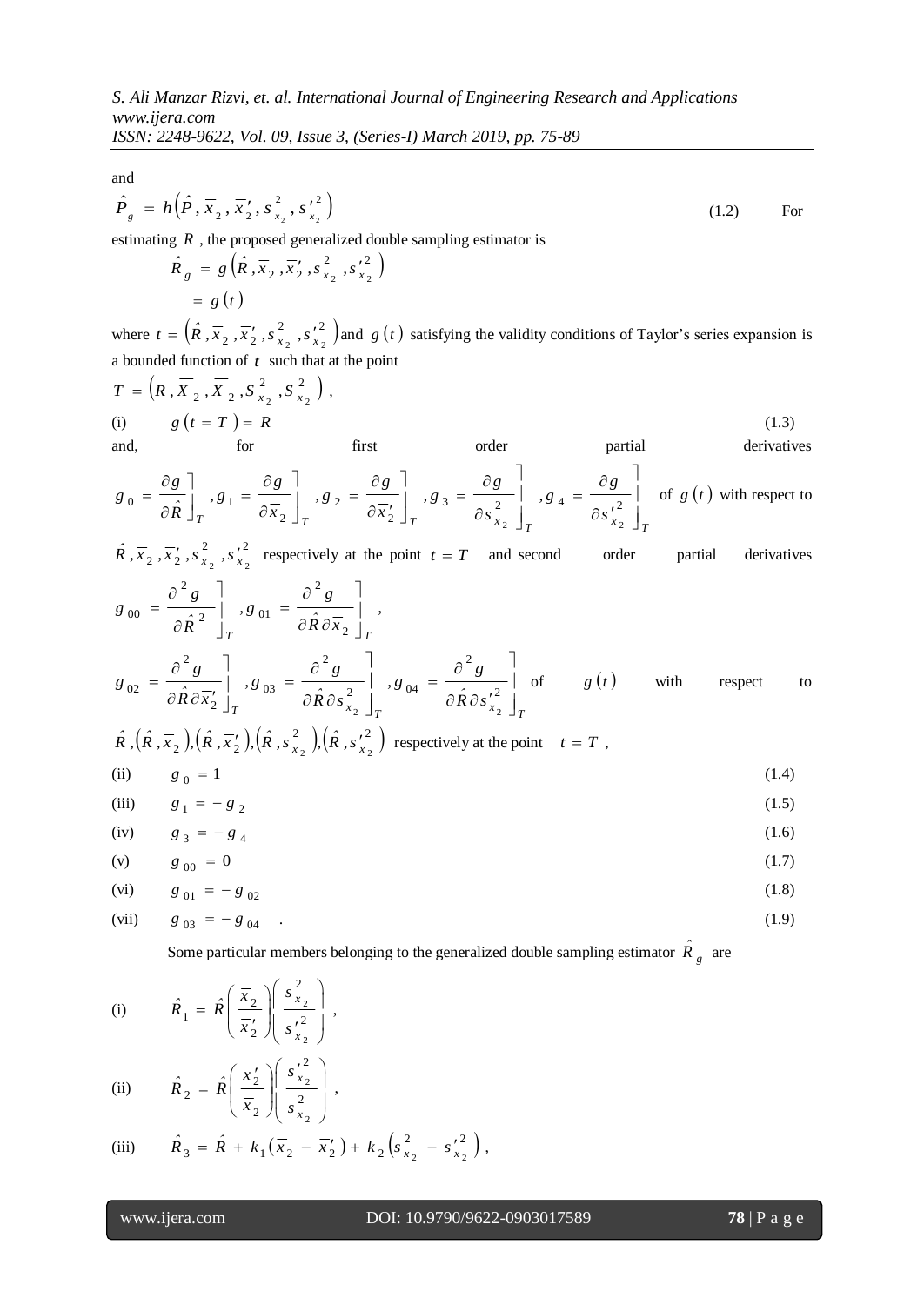*ISSN: 2248-9622, Vol. 09, Issue 3, (Series-I) March 2019, pp. 75-89*

and

$$
\hat{P}_g = h\left(\hat{P}, \overline{x}_2, \overline{x}_2', s_{x_2}^2, s_{x_2}^2\right)
$$
\n(1.2) For

estimating *R* , the proposed generalized double sampling estimator is

$$
\hat{R}_g = g\left(\hat{R}, \overline{x}_2, \overline{x}_2', s_{x_2}^2, {s_{x_2}'}^2\right)
$$
  
= g(t)

where  $t = (\hat{R}, \overline{x}_2, \overline{x}_2, \overline{s}_x^2, s_x^2)$  $t = (\hat{R}, \overline{x}_2, \overline{x}_2', s_{x_2}^2, s_{x_2}^2)$  and  $g(t)$  satisfying the validity conditions of Taylor's series expansion is a bounded function of  $t$  such that at the point

$$
T = (R, \overline{X}_2, \overline{X}_2, S_{x_2}^2, S_{x_2}^2),
$$
  
\n(i)  $g(t = T) = R$  (1.3)  
\nand, for first order partial derivatives

$$
g_0 = \frac{\partial g}{\partial \hat{R}}\Bigg|_T, g_1 = \frac{\partial g}{\partial \overline{x}_2}\Bigg|_T, g_2 = \frac{\partial g}{\partial \overline{x}_2'}\Bigg|_T, g_3 = \frac{\partial g}{\partial s_{x_2}^2}\Bigg|_T, g_4 = \frac{\partial g}{\partial s_{x_2}^2}\Bigg|_T
$$
of  $g(t)$  with respect to

2 2  $\hat{R}$ ,  $\overline{x}_2$ ,  $\overline{x}_2'$ ,  $s_{x_2}^2$ ,  $s_{x_2}^2$  respectively at the point  $t = T$  and second order partial derivatives  $\partial^2 g$   $\bar{\partial}^2 g$   $\bar{\partial}^2 g$ 

$$
g_{00} = \frac{\partial g}{\partial \hat{R}^2} \Big|_{T} g_{01} = \frac{\partial g}{\partial \hat{R} \partial \overline{x}_2} \Big|_{T} ,
$$
  
\n
$$
g_{02} = \frac{\partial^2 g}{\partial \hat{R} \partial \overline{x}_2} \Big|_{T} g_{03} = \frac{\partial^2 g}{\partial \hat{R} \partial \overline{s}_{x_2}^2} \Big|_{T} g_{04} = \frac{\partial^2 g}{\partial \hat{R} \partial \overline{s}_{x_2}^2} \Big|_{T} of
$$
  $g(t)$  with respect to

$$
\hat{R}, (\hat{R}, \overline{x}_2), (\hat{R}, \overline{x}_2'), (\hat{R}, s_{x_2}^2), (\hat{R}, s_{x_2}^2)
$$
 respectively at the point  $t = T$ ,

(ii) 
$$
g_0 = 1
$$
 (1.4)  
(iii)  $g_1 = -g_1$  (1.5)

(iii) 
$$
g_1 = -g_2
$$
 (1.5)

(iv) 
$$
g_3 = -g_4
$$
 (1.6)

(v) 
$$
g_{00} = 0
$$
 (1.7)

(vi) 
$$
g_{01} = -g_{02}
$$
 (1.8)

(vii) 
$$
g_{03} = -g_{04}
$$
 (1.9)

Some particular members belonging to the generalized double sampling estimator  $\hat{R}_g$  are

(i) 
$$
\hat{R}_1 = \hat{R} \left( \frac{\overline{x}_2}{\overline{x}_2'} \right) \left( \frac{s_{x_2}^2}{s_{x_2}'} \right),
$$

(ii) 
$$
\hat{R}_2 = \hat{R} \left( \frac{\overline{x}_2'}{\overline{x}_2} \right) \left( \frac{{s'}_2^2}{s_{x_2}^2} \right)
$$

(iii) 
$$
\hat{R}_3 = \hat{R} + k_1(\overline{x}_2 - \overline{x}'_2) + k_2(s_{x_2}^2 - s_{x_2}^2),
$$

,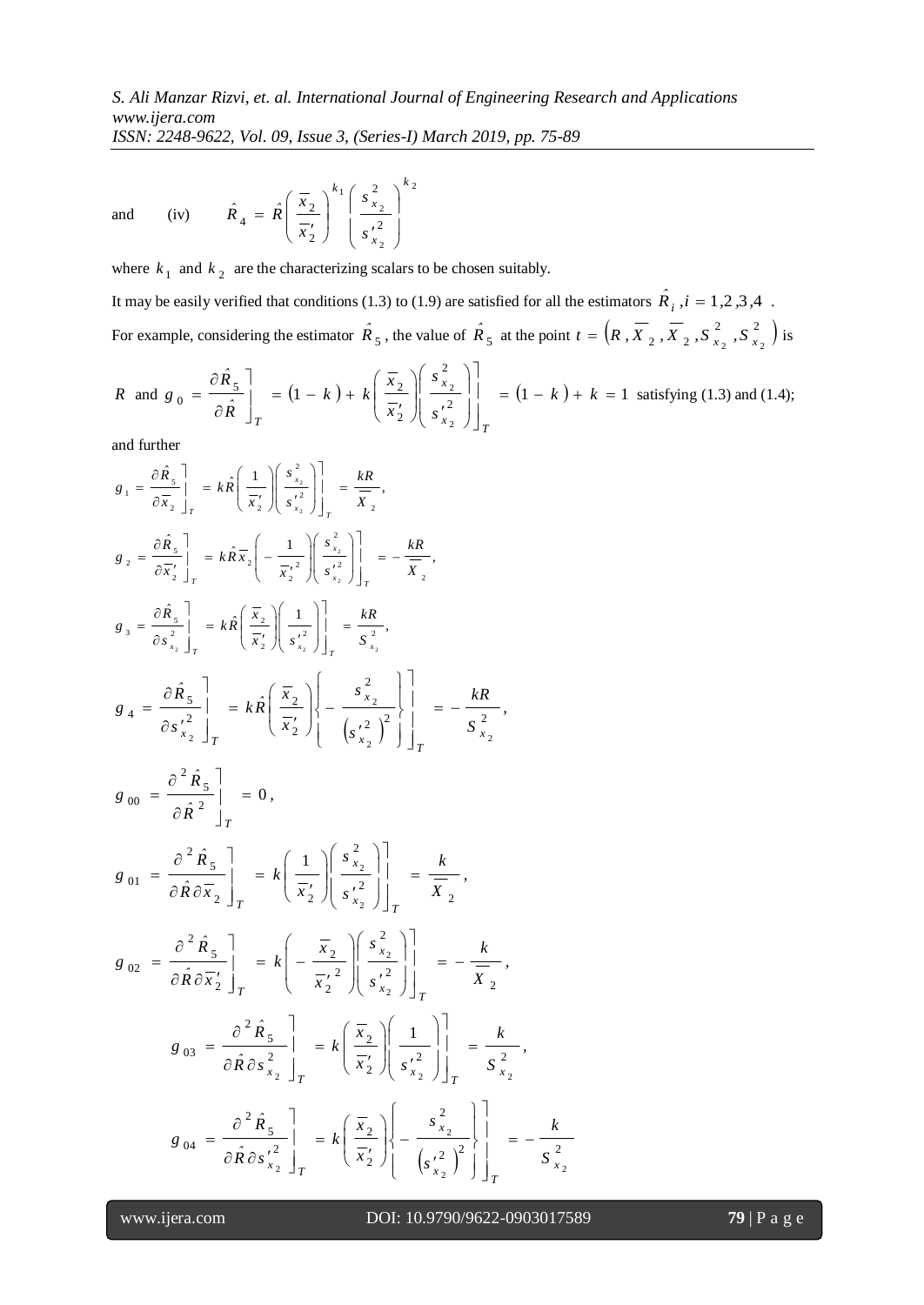and (iv) 2 2 2 1 2 2 2 2 4 *k x x k s s x x*  $\hat{R}_4 = \hat{R}$  $\overline{\phantom{a}}$  $\overline{\phantom{a}}$ J  $\backslash$  $\mathsf{I}$  $\mathsf{I}$  $\setminus$ ſ  $\frac{1}{s}$ J  $\setminus$  $\overline{\phantom{a}}$  $\setminus$ ſ  $\frac{1}{2}$  $=$ 

where  $k_1$  and  $k_2$  are the characterizing scalars to be chosen suitably.

It may be easily verified that conditions (1.3) to (1.9) are satisfied for all the estimators  $\hat{R}_i$ ,  $i = 1,2,3,4$ . For example, considering the estimator  $\hat{R}_5$ , the value of  $\hat{R}_5$  at the point  $t = \left(R, \overline{X}_2, \overline{X}_2, S_{x_2}^2, S_{x_2}^2\right)$  $t = \left(R, X_2, X_2, S_{x_2}^2, S_{x_2}^2\right)$  is

$$
R \text{ and } g_0 = \frac{\partial \hat{R}_5}{\partial \hat{R}}\bigg|_T = (1-k) + k \left(\frac{\overline{x}_2}{\overline{x}_2'}\right) \left(\frac{s_{x_2}^2}{s_{x_2'}^2}\right)\bigg|_T = (1-k) + k = 1 \text{ satisfying (1.3) and (1.4);}
$$

and further

$$
g_1 = \frac{\partial \hat{R}_s}{\partial \overline{x}_2} \bigg|_{T} = k \hat{R} \bigg( \frac{1}{\overline{x}_2'} \bigg) \bigg( \frac{s_{x_2}^2}{s_{x_2}^2} \bigg) \bigg|_{T} = \frac{kR}{\overline{x}_2},
$$
  
\n
$$
g_2 = \frac{\partial \hat{R}_s}{\partial \overline{x}_2'} \bigg|_{T} = k \hat{R} \overline{x}_2 \bigg( -\frac{1}{\overline{x}_2'} \bigg) \bigg( \frac{s_{x_2}^2}{s_{x_2}^2} \bigg) \bigg|_{T} = -\frac{kR}{\overline{x}_2},
$$
  
\n
$$
g_3 = \frac{\partial \hat{R}_s}{\partial s_{x_2}^2} \bigg|_{T} = k \hat{R} \bigg( \frac{\overline{x}_2}{\overline{x}_2'} \bigg) \bigg( \frac{1}{s_{x_2}^2} \bigg) \bigg|_{T} = \frac{kR}{\overline{s}_{x_2}^2},
$$
  
\n
$$
g_4 = \frac{\partial \hat{R}_s}{\partial s_{x_2}^2} \bigg|_{T} = k \hat{R} \bigg( \frac{\overline{x}_2}{\overline{x}_2'} \bigg) \bigg( -\frac{s_{x_2}^2}{(s_{x_2}^2)^2} \bigg) \bigg|_{T} = -\frac{kR}{\overline{s}_{x_2}^2},
$$
  
\n
$$
g_{00} = \frac{\partial^2 \hat{R}_s}{\partial \hat{R} \partial \overline{x}_2} \bigg|_{T} = k \bigg( \frac{1}{\overline{x}_2'} \bigg) \bigg( \frac{s_{x_2}^2}{s_{x_2}^2} \bigg) \bigg|_{T} = \frac{k}{\overline{x}_{x_2}},
$$
  
\n
$$
g_{02} = \frac{\partial^2 \hat{R}_s}{\partial \hat{R} \partial \overline{x}_2'} \bigg|_{T} = k \bigg( -\frac{\overline{x}_2}{\overline{x}_2'} \bigg) \bigg( \frac{s_{x_2}^2}{s_{x_2}^2} \bigg) \bigg|_{T} = -\frac{k}{\overline{x}_{x_2}},
$$
  
\n
$$
g_{
$$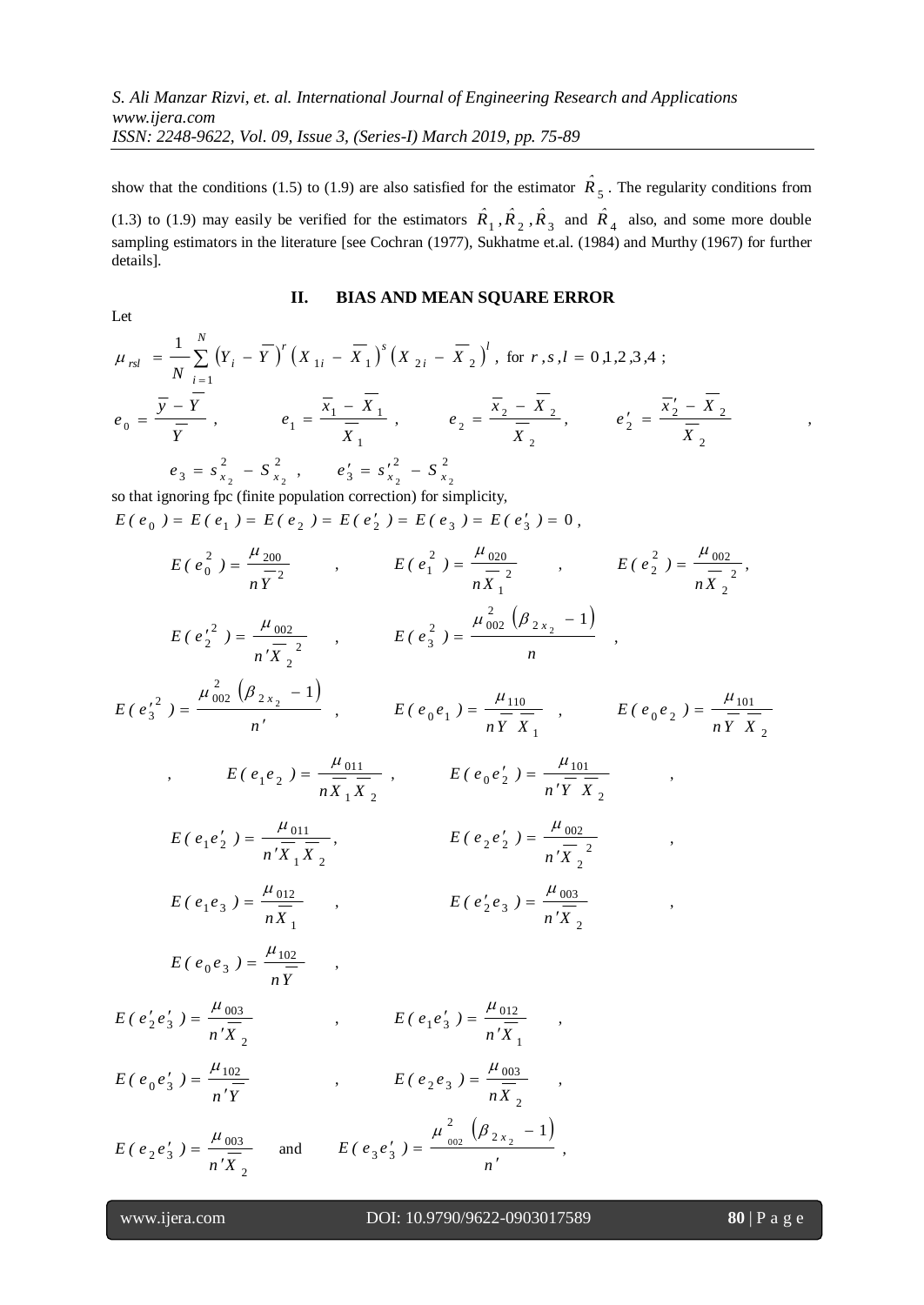show that the conditions (1.5) to (1.9) are also satisfied for the estimator  $\hat{R}_5$ . The regularity conditions from (1.3) to (1.9) may easily be verified for the estimators  $\hat{R}_1$ ,  $\hat{R}_2$ ,  $\hat{R}_3$  and  $\hat{R}_4$  also, and some more double sampling estimators in the literature [see Cochran (1977), Sukhatme et.al. (1984) and Murthy (1967) for further details].

## **II. BIAS AND MEAN SQUARE ERROR**

$$
\mu_{rsl} = \frac{1}{N} \sum_{i=1}^{N} (Y_i - \overline{Y})^r (X_{1i} - \overline{X}_1)^s (X_{2i} - \overline{X}_2)^l, \text{ for } r, s, l = 0, 1, 2, 3, 4 ;
$$
  
\n
$$
e_0 = \frac{\overline{y} - \overline{Y}}{\overline{Y}}, \qquad e_1 = \frac{\overline{x}_1 - \overline{X}_1}{\overline{X}_1}, \qquad e_2 = \frac{\overline{x}_2 - \overline{X}_2}{\overline{X}_2}, \qquad e'_2 = \frac{\overline{x}'_2 - \overline{X}_2}{\overline{X}_2},
$$
  
\n
$$
e_3 = s_{x_2}^2 - S_{x_2}^2, \qquad e'_3 = s_{x_2}^2 - S_{x_2}^2
$$

so that ignoring fpc (finite population correction) for simplicity,  $E(e_0) = E(e_1) = E(e_2) = E(e'_2) = E(e_3) = E(e'_3) = 0,$ 

$$
E(e_0^2) = \frac{\mu_{200}}{n\overline{Y}^2} , \t E(e_1^2) = \frac{\mu_{020}}{n\overline{X}_1^2} , \t E(e_2^2) = \frac{\mu_{002}}{n\overline{X}_2^2} ,
$$
  
\n
$$
E(e_2^{r^2}) = \frac{\mu_{002}}{n'\overline{X}_2^2} , \t E(e_3^2) = \frac{\mu_{002}^2(\beta_{2x_2} - 1)}{n} ,
$$
  
\n
$$
E(e_3^{r^2}) = \frac{\mu_{002}^2(\beta_{2x_2} - 1)}{n'} , \t E(e_0e_1) = \frac{\mu_{110}}{n\overline{Y}\overline{X}_1} , \t E(e_0e_2) = \frac{\mu_{101}}{n\overline{Y}\overline{X}_2} ,
$$
  
\n
$$
E(e_1e_2) = \frac{\mu_{011}}{n\overline{X}_1\overline{X}_2} , \t E(e_0e_2^2) = \frac{\mu_{101}}{n'\overline{Y}\overline{X}_2} ,
$$
  
\n
$$
E(e_1e_2^2) = \frac{\mu_{011}}{n'\overline{X}_1\overline{X}_2} , \t E(e_2e_2^2) = \frac{\mu_{002}}{n'\overline{X}_2^2} ,
$$
  
\n
$$
E(e_1e_3) = \frac{\mu_{012}}{n\overline{X}_1} , \t E(e_2^2e_3) = \frac{\mu_{003}}{n'\overline{X}_2} ,
$$
  
\n
$$
E(e_0e_3) = \frac{\mu_{102}}{n\overline{Y}} , \t E(e_1e_3^2) = \frac{\mu_{012}}{n'\overline{X}_2} ,
$$
  
\n
$$
E(e_2e_3^2) = \frac{\mu_{003}}{n'\overline{X}_2} , \t E(e_1e_3^2) = \frac{\mu_{012}}{n'\overline{X}_1} ,
$$
  
\n
$$
E(e_0e_3^2) = \frac{\mu_{003}}{n'\overline{Y}} , \t E(e_2e_3^2) = \frac{\mu_{002}}{n\overline{X}_
$$

l

Let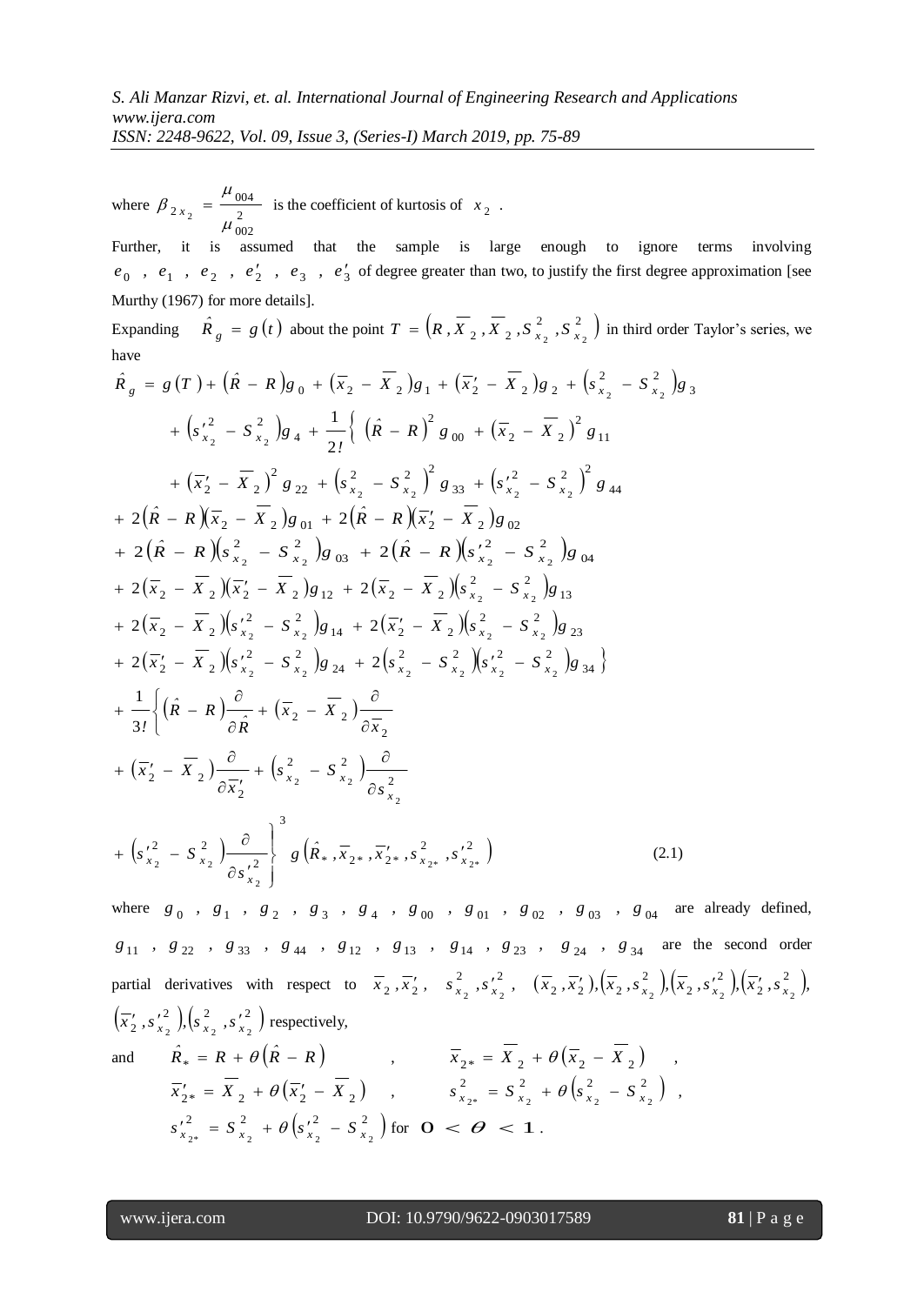*ISSN: 2248-9622, Vol. 09, Issue 3, (Series-I) March 2019, pp. 75-89*

where  $\beta_{2x_2} = \frac{100}{2}$ 002 004  $2 x_2 - \mu$  $\beta_{2x_2} = \frac{\mu_{004}}{2}$  is the coefficient of kurtosis of  $x_2$ .

Further, it is assumed that the sample is large enough to ignore terms involving  $e_0$ ,  $e_1$ ,  $e_2$ ,  $e'_2$ ,  $e'_3$ ,  $e'_3$  of degree greater than two, to justify the first degree approximation [see Murthy (1967) for more details].

Expanding  $\hat{R}_g = g(t)$  about the point  $T = (R, \overline{X}_2, \overline{X}_2, S_{x_2}^2, S_{x_2}^2)$  $T = (R, X_2, X_2, S_{X_2}^2, S_{X_2}^2)$  in third order Taylor's series, we have

$$
\hat{R}_g = g(T) + (\hat{R} - R)g_0 + (\overline{x}_2 - \overline{X}_2)g_1 + (\overline{x}_2' - \overline{X}_2)g_2 + (s_{x_2}^2 - s_{x_2}^2)g_3
$$
  
+  $(s_{x_2}^2 - s_{x_2}^2)g_4 + \frac{1}{2!} ((\hat{R} - R)^2 g_{00} + (\overline{x}_2 - \overline{X}_2)^2 g_{11} + (\overline{x}_2' - \overline{X}_2)^2 g_{22} + (s_{x_2}^2 - s_{x_2}^2)g_{33} + (s_{x_2}^2 - s_{x_2}^2)g_{44}$   
+  $2(\hat{R} - R)(\overline{x}_2 - \overline{X}_2)g_{01} + 2(\hat{R} - R)(\overline{x}_2' - \overline{X}_2)g_{02}$   
+  $2(\hat{R} - R)(s_{x_2}^2 - s_{x_2}^2)g_{33} + 2(\hat{R} - R)(s_{x_2}^2 - s_{x_2}^2)g_{34}$   
+  $2(\overline{x}_2 - \overline{X}_2)(\overline{x}_2' - \overline{X}_2)g_{12} + 2(\overline{x}_2 - \overline{X}_2)(s_{x_2}^2 - s_{x_2}^2)g_{13}$   
+  $2(\overline{x}_2 - \overline{X}_2)(s_{x_2}^2 - s_{x_2}^2)g_{14} + 2(\overline{x}_2' - \overline{X}_2)(s_{x_2}^2 - s_{x_2}^2)g_{23}$   
+  $2(\overline{x}_2' - \overline{X}_2)(s_{x_2}^2 - s_{x_2}^2)g_{24} + 2(s_{x_2}^2 - s_{x_2}^2)(s_{x_2}^2 - s_{x_2}^2)g_{34}$   
+  $\frac{1}{3!}(\hat{R} - R)\frac{\partial}{\partial \hat{R}} + (\overline{x}_2 - \overline{X}_2)\frac{\partial}{\partial \overline{X}_2}$   
+  $(\overline{x}_2' - \overline{X}_2)\frac{\partial}{\partial \overline{X}_2} + (s_{x_2}^2 - s_{x_2}^2)\frac{\partial$ 

where  $g_0$ ,  $g_1$ ,  $g_2$ ,  $g_3$ ,  $g_4$ ,  $g_{00}$ ,  $g_{01}$ ,  $g_{02}$ ,  $g_{03}$ ,  $g_{04}$  are already defined,  $g_{11}$ ,  $g_{22}$ ,  $g_{33}$ ,  $g_{44}$ ,  $g_{12}$ ,  $g_{13}$ ,  $g_{14}$ ,  $g_{23}$ ,  $g_{24}$ ,  $g_{34}$  are the second order partial derivatives with respect to  $\overline{x}_2$ ,  $\overline{x}_2'$ ,  $\overline{s}_{x_2}^2$ ,  $\overline{s}_{x_2}^2$ , 2, 2  $\frac{1}{2}$ ,  $s \frac{r^2}{x_2}$ ,  $(\overline{x}_2, \overline{x}_2')$ ,  $(\overline{x}_2, s \frac{r^2}{x_2})$ ,  $(\overline{x}_2, s \frac{r^2}{x_2})$ ,  $(\overline{x}_2', s \frac{r^2}{x_2})$ , 2 2 2 2 2  $(\overline{x}_2^{\prime}, \overline{x}_2^{\prime}), (\overline{x}_2^{\prime}, s_{x_2}^{\prime\,2}), (\overline{x}_2^{\prime}, s_{x_2}^{\prime\,2}), (\overline{x}_2^{\prime}, s_{x_2}^{\prime\,2})$  $(\overline{x}'_2, s'^2)$ ,  $(s^2, s'^2)$  $\overline{x}_2'$ ,  $s_{x_2}^2$ ,  $\left(s_{x_2}^2$ ,  $s_{x_2}^2\right)$  respectively, and  $\hat{R}_* = R + \theta \left( \hat{R} - R \right)$ 

$$
R_{*} = R + \theta (R - R) , \qquad \overline{x}_{2*} = X_{2} + \theta (\overline{x}_{2} - X_{2}) ,
$$
  
\n
$$
\overline{x}_{2*} = \overline{X}_{2} + \theta (\overline{x}_{2} - \overline{X}_{2}) , \qquad s_{x_{2*}}^{2} = S_{x_{2}}^{2} + \theta (s_{x_{2}}^{2} - S_{x_{2}}^{2}) ,
$$
  
\n
$$
s_{x_{2*}}^{'2} = S_{x_{2}}^{2} + \theta (s_{x_{2}}^{'2} - S_{x_{2}}^{2}) \text{ for } O < \Theta < 1 .
$$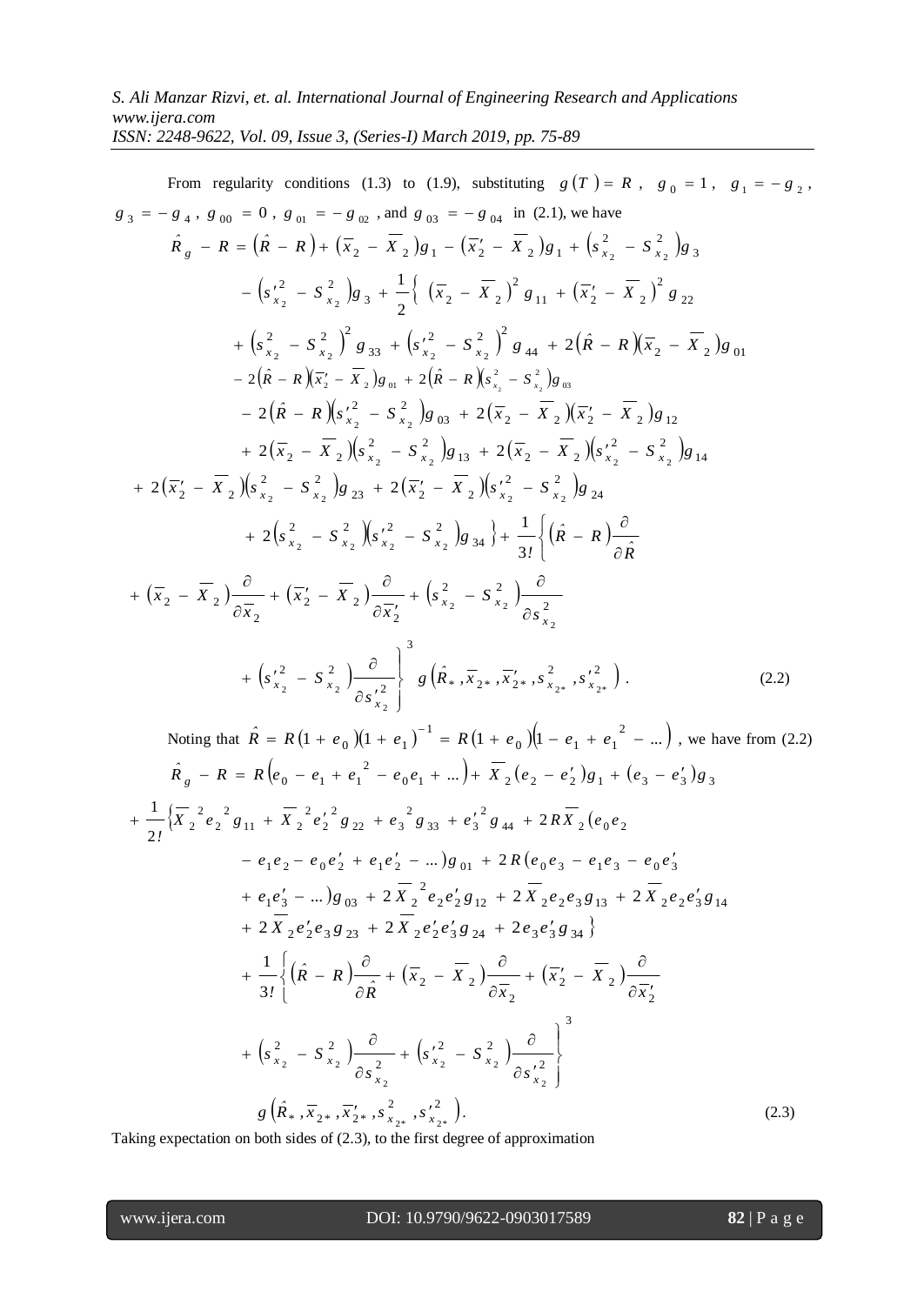From regularity conditions (1.3) to (1.9), substituting 
$$
g(T) = R
$$
,  $g_0 = 1$ ,  $g_1 = -g_2$ ,  
\n $g_3 = -g_4$ ,  $g_{00} = 0$ ,  $g_{01} = -g_{02}$ , and  $g_{03} = -g_{04}$  in (2.1), we have  
\n
$$
\hat{R}_g - R = (\hat{R} - R) + (\overline{x}_2 - \overline{X}_2)g_1 - (\overline{x}_2' - \overline{X}_2)g_1 + (s_{x_2}^2 - s_{x_2}^2)g_3
$$
\n
$$
- (s_{x_2}^2 - s_{x_2}^2)g_3 + \frac{1}{2} \{ (\overline{x}_2 - \overline{X}_2)^2 g_{11} + (\overline{x}_2' - \overline{X}_2)^2 g_{22}
$$
\n
$$
+ (s_{x_2}^2 - s_{x_2}^2)g_{33} + (s_{x_2}^2 - s_{x_2}^2)g_{44} + 2(\hat{R} - R)(\overline{x}_2 - \overline{X}_2)g_{01}
$$
\n
$$
- 2(\hat{R} - R)(\overline{x}_2' - \overline{X}_2)g_{01} + 2(\hat{R} - R)(s_{x_2}^2 - s_{x_2}^2)g_{12}
$$
\n
$$
+ 2(\overline{x}_2 - \overline{X}_2)(s_{x_2}^2 - s_{x_2}^2)g_{13} + 2(\overline{x}_2 - \overline{X}_2)(\overline{x}_2' - \overline{X}_2)g_{12}
$$
\n
$$
+ 2(\overline{x}_2' - \overline{X}_2)(s_{x_2}^2 - s_{x_2}^2)g_{13} + 2(\overline{x}_2 - \overline{X}_2)(s_{x_2}^2 - s_{x_2}^2)g_{14}
$$
\n
$$
+ 2(\overline{x}_2' - \overline{X}_2)(s_{x_2}^2 - s_{x_2}^2)g_{23} + 2(\overline{x}_2' - \overline{X}_2)(s_{x_2}^2 - s_{x_2}^2)g_{24}
$$
\n
$$
+ 2(\overline{x}_2' - \overline
$$

Noting that 
$$
\hat{R} = R(1 + e_0)(1 + e_1)^{-1} = R(1 + e_0)(1 - e_1 + e_1^2 - \dots)
$$
, we have from (2.2)  
\n $\hat{R}_g - R = R(e_0 - e_1 + e_1^2 - e_0e_1 + \dots) + \overline{X}_2(e_2 - e_2')g_1 + (e_3 - e_3')g_3$   
\n $+ \frac{1}{2!} {\overline{X}_2}^2 e_2^2 g_{11} + \overline{X}_2^2 e_2^2 g_{22} + e_3^2 g_{33} + e_3^2 g_{44} + 2R\overline{X}_2(e_0e_2$   
\n $- e_1e_2 - e_0e_2' + e_1e_2' - \dots)g_{01} + 2R(e_0e_3 - e_1e_3 - e_0e_3'$   
\n $+ e_1e_3' - \dots)g_{03} + 2\overline{X}_2^2 e_2e_2'g_{12} + 2\overline{X}_2e_2e_3g_{13} + 2\overline{X}_2e_2e_3'g_{14}$   
\n $+ 2\overline{X}_2e_2'e_3g_{23} + 2\overline{X}_2e_2'e_3'g_{24} + 2e_3e_3'g_{34}$   
\n $+ \frac{1}{3!} \{( \hat{R} - R) \frac{\partial}{\partial \hat{R}} + ( \overline{X}_2 - \overline{X}_2 ) \frac{\partial}{\partial \overline{X}_2} + ( \overline{X}_2' - \overline{X}_2 ) \frac{\partial}{\partial \overline{X}_2'}$   
\n $+ ( s_{x_2}^2 - s_{x_2}^2 ) \frac{\partial}{\partial s_{x_2}^2} + ( s_{x_2}^2 - s_{x_2}^2 ) \frac{\partial}{\partial s_{x_2}^2}$   
\n $g(\hat{R}_*, \overline{X}_{2*}, \overline{X}_{2*}, \overline{X}_{2*}^2, s_{x_2}^2).$  (2.3)

Taking expectation on both sides of (2.3), to the first degree of approximation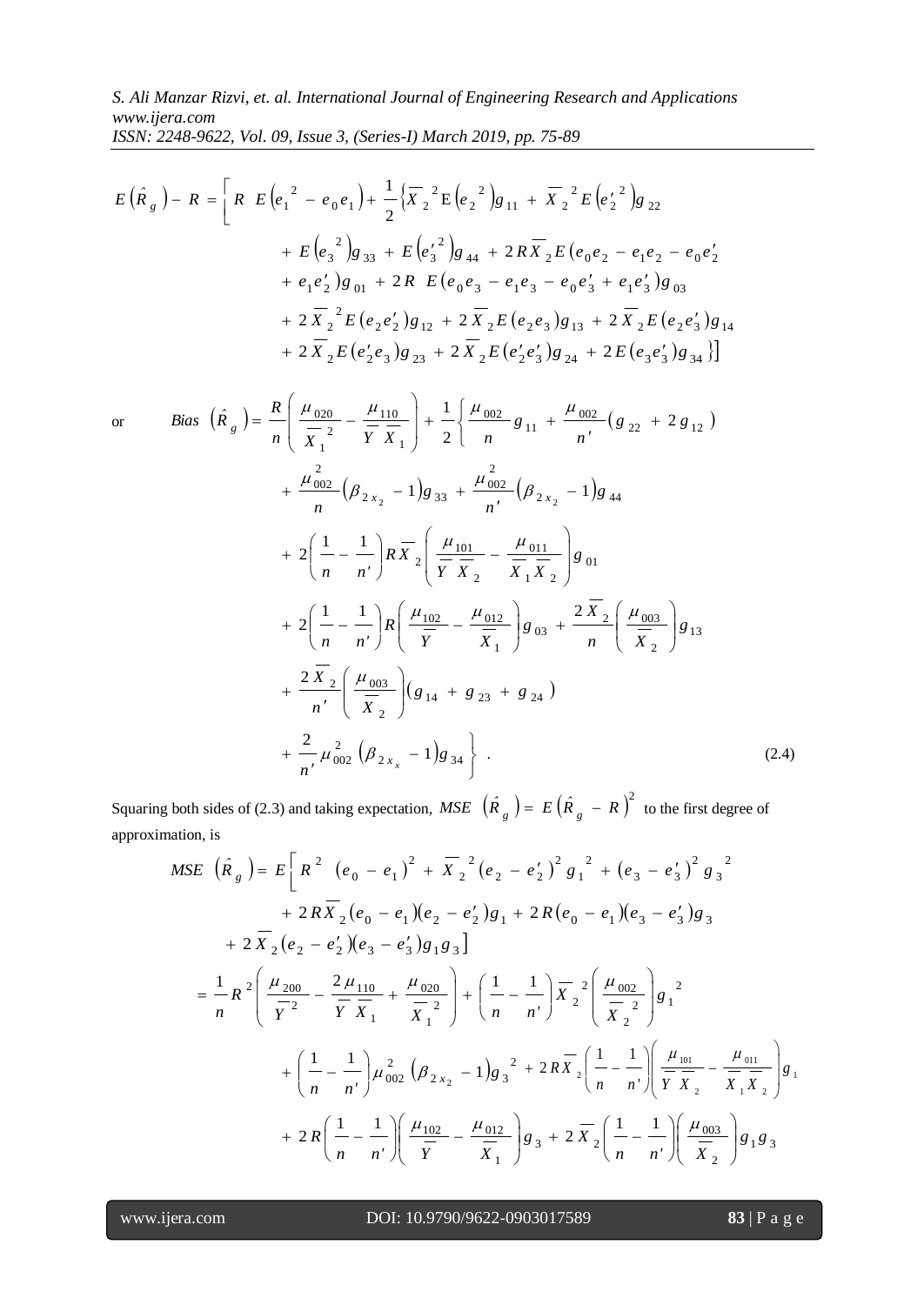*S. Ali Manzar Rizvi, et. al. International Journal of Engineering Research and Applications www.ijera.com ISSN: 2248-9622, Vol. 09, Issue 3, (Series-I) March 2019, pp. 75-89*

$$
E(\hat{R}_g) - R = \left[ R E(e_1^2 - e_0 e_1) + \frac{1}{2} \left\{ \overline{X}_2^2 E(e_2^2) g_{11} + \overline{X}_2^2 E(e_2^2) g_{22} \right\} + E(e_3^2) g_{33} + E(e_3^2) g_{44} + 2 R \overline{X}_2 E(e_0 e_2 - e_1 e_2 - e_0 e_2' + e_1 e_2') g_{01} + 2 R E(e_0 e_3 - e_1 e_3 - e_0 e_3' + e_1 e_3') g_{03} + 2 \overline{X}_2^2 E(e_2 e_2') g_{12} + 2 \overline{X}_2 E(e_2 e_3) g_{13} + 2 \overline{X}_2 E(e_2 e_3') g_{14} + 2 \overline{X}_2 E(e_2' e_3) g_{23} + 2 \overline{X}_2 E(e_2' e_3') g_{24} + 2 E(e_3 e_3') g_{34} \right]
$$

$$
E(R_x) - R = \left[ R E(e_1^2 - e_0 e_1) + \frac{1}{2} [X_2^2 E(e_2^2) g_{11} + X_2^2 E(e_2^2) g_{22}
$$
  
+  $E(e_3^2) g_{33} + E(e_3^2) g_{44} + 2 R \overline{X_2} E(e_0 e_2 - e_1 e_2 - e_0 e_2'$   
+  $e_1 e_2^2) g_{01} + 2 R E(e_0 e_3 - e_1 e_3 - e_0 e_3^2 + e_1 e_3^2) g_{03}$   
+  $2 \overline{X_2}^2 E(e_2 e_3^2) g_{12} + 2 \overline{X_2} E(e_2 e_3) g_{13} + 2 \overline{X_2} E(e_2 e_3^2) g_{34}$   
+  $2 \overline{X_2} E(e_2^2 e_3) g_{23} + 2 \overline{X_2} E(e_2^2 e_3^2) g_{24} + 2 E(e_3 e_3^2) g_{34}$ ]  
or  $Bias (\hat{R}_g) = \frac{R}{n} \left( \frac{\mu_{000}}{\overline{x_1}} - \frac{\mu_{100}}{\overline{y_1}} \right) + \frac{1}{2} \left( \frac{\mu_{002}}{n} g_{11} + \frac{\mu_{002}}{n} (g_{22} + 2 g_{12}) + \frac{\mu_{002}}{n} (\mu_{22} - 1) g_{33} + \frac{\mu_{002}}{n} (\mu_{22} - 1) g_{44} + \frac{\mu_{002}}{n} (\mu_{22} - 1) g_{33} + \frac{\mu_{002}}{n} (\mu_{22} - 1) g_{44} + \frac{\mu_{002}}{n} (\mu_{22} - 1) g_{45}$   
+  $2 \left( \frac{1}{n} - \frac{1}{n} \right) R \left( \frac{\mu_{102}}{\overline{y}} - \frac{\mu_{011}}{\overline{X_1}} \right) g_{01} + 2 \left( \frac{1}{n} - \frac{1}{n^2} \right) R \left( \frac{\mu_{102}}{\overline{y}} - \frac{\mu_{011}}{\overline{X_1}} \right) g_{4$ 

Squaring both sides of (2.3) and taking expectation, MSE  $(\hat{R}_g) = E(\hat{R}_g - R)^2$  to the first degree of approximation, is

$$
MSE\left(\hat{R}_g\right) = E\left[R^2 \left(e_0 - e_1\right)^2 + \overline{X}_2^2 \left(e_2 - e_2'\right)^2 g_1^2 + \left(e_3 - e_3'\right)^2 g_3^2\right] + 2R\overline{X}_2 \left(e_0 - e_1\right)\left(e_2 - e_2'\right)g_1 + 2R\left(e_0 - e_1\right)\left(e_3 - e_3'\right)g_3\right]
$$
  
+ 
$$
2\overline{X}_2 \left(e_2 - e_2'\right)\left(e_3 - e_3'\right)g_1g_3\right]
$$
  
= 
$$
\frac{1}{n}R^2 \left(\frac{\mu_{200}}{\overline{Y}^2} - \frac{2\mu_{110}}{\overline{Y}\overline{X}_1} + \frac{\mu_{020}}{\overline{X}_1^2}\right) + \left(\frac{1}{n} - \frac{1}{n'}\right)\overline{X}_2^2 \left(\frac{\mu_{002}}{\overline{X}_2}\right)g_1^2 + \left(\frac{1}{n} - \frac{1}{n'}\right)\mu_{002}^2 \left(\beta_{2x_2} - 1\right)g_3^2 + 2R\overline{X}_2 \left(\frac{1}{n} - \frac{1}{n'}\right) \left(\frac{\mu_{101}}{\overline{Y}\overline{X}_2} - \frac{\mu_{011}}{\overline{X}_1\overline{X}_2}\right)g_1
$$
  
+ 
$$
2R \left(\frac{1}{n} - \frac{1}{n'}\right) \left(\frac{\mu_{102}}{\overline{Y}} - \frac{\mu_{012}}{\overline{X}_1}\right)g_3 + 2\overline{X}_2 \left(\frac{1}{n} - \frac{1}{n'}\right) \left(\frac{\mu_{003}}{\overline{X}_2}\right)g_1g_3
$$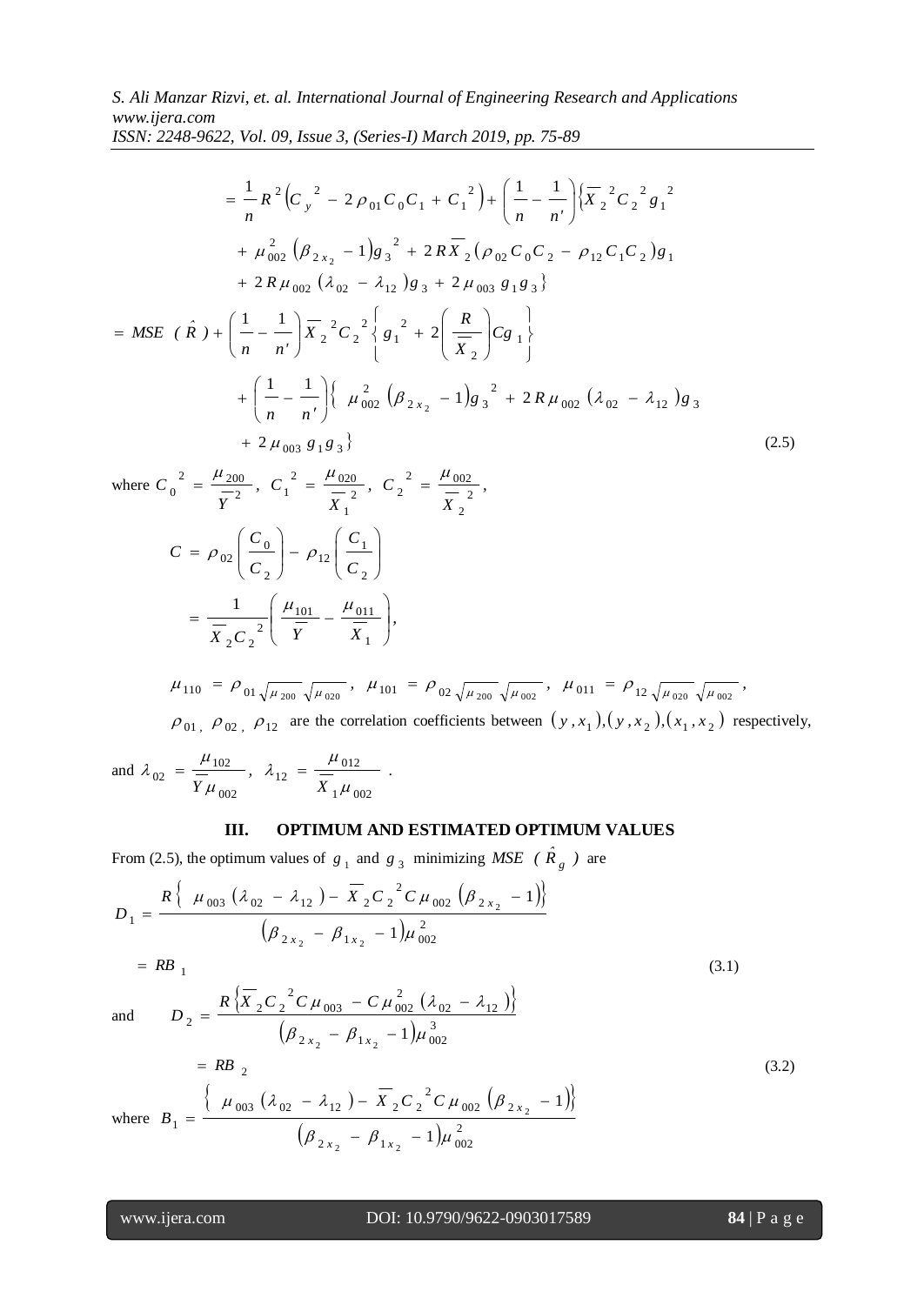= $\frac{1}{n} \int_{0}^{2\pi} \left[ \left( \frac{r}{2} \right)^{2} - 2 \rho_{01} C_{0} C_{1} + C_{1}^{2} \right) + \left[ \frac{1}{n} \frac{1}{n^{2}} \right]_{0}^{2\pi}$ <br>  $+ \mu_{002}^{2} \left( \frac{\mu}{2} 2, 2 - 1 \right) g_{3}^{2} + 2 R \overline{X}_{2} \left( \rho_{01} C_{0} C_{2} - \rho_{12} \right) g_{3} + 2 \mu_{002} g_{1} g_{3} \right)$ <br>  $+ 2 R \mu_{002} \left$ 2 1 2 2 2 2 2  $01 - 0 - 1 - 1$  $2\left(C_v^2 - 2\rho_{01}C_0C_1 + C_1^2\right) + \left(\frac{1}{2} - \frac{1}{2}\right)$ 1  $X_2$ <sup> $\sim$ </sup> $C_2$ <sup> $\sim$ </sup> $g$ *n n'*  $R^2$   $\left(C_v\right)^2 - 2\rho_{01}C_0C_1 + C_0$  $-\frac{1}{n}R^{-1}(C_y^{\dagger} - 2\rho_{01}C_0C_1 + C_1^{\dagger}) + \left(\frac{1}{n} - \frac{1}{n'}\right)$ J  $\backslash$ Į  $\overline{\mathcal{L}}$  $=\frac{1}{2}R^2(C_v^2-2\rho_{01}C_0C_1+C_1^2)+\left(\frac{1}{2}\right)^2$  $+ \mu_{002}^2 (\beta_{2x_2} - 1)g_3^2 + 2RX_2 (\rho_{02} C_0 C_2 - \rho_{12} C_1 C_2)g_1$ 2  $2 x_2$  1/8 3  $+\mu_{002}^{2}$   $(\beta_{2x_{2}}-1)g_{3}^{2}$  + 2RX<sub>2</sub>  $(\rho_{02}C_{0}C_{2} - \rho_{12}C_{1}C_{2})g_{3}$  $+ 2 R \mu_{002} (\lambda_{02} - \lambda_{12}) g_3 + 2 \mu_{003} g_1 g_3$ J  $\left\{ \right.$  $\begin{matrix} \end{matrix}$  $\overline{\mathfrak{l}}$ ₹  $\int$  $\overline{\phantom{a}}$ J  $\setminus$  $\overline{\phantom{a}}$  $\setminus$ ſ  $X_2^2C_2^2$   $8_1^2$  + J  $\setminus$ Į  $\setminus$ = MSE  $(\hat{R}) + (\frac{1}{1} - \frac{1}{1})\overline{X}_2^2 C_2^2 \left(\frac{1}{8_1} + 2\right) \frac{R}{\overline{X}_1} C_8$ 2 2 1 2 2 2  $\frac{1}{2}^{2}C_{2}^{2}$  {  $g_{1}^{2}$  + 2 1 1 *Cg X R*  $X, \, {}^{\circ}C, \, {}^{\circ} \setminus g$ *n n' R ) ˆ MSE (*  $|1 - - -|$   $\langle \mu_{002}^2 (\beta_{2x_2} - 1) g_3^2 + 2R \mu_{002} (\lambda_{02} - \lambda_{12}) g_3 \rangle$ 2  $2 x_2$   $-1/8$  3  $\int_{0.02}^{2} (\beta_{2x}^{\prime}_{2}) - 1)g_3^{2} + 2$ 1 1  $\int_2^2 -1/g_3^2 + 2R \mu_{002} (\lambda_{02} - \lambda_{12})g$  $\left[\frac{1}{n} - \frac{1}{n'}\right]$   $\left(\mu_{002}^2 \left(\beta_{2x_2} - 1\right) g_3^2 + 2R \mu_{002} \left(\lambda_{02} - \lambda_{12}\right)\right]$ J  $\backslash$ L  $\setminus$ ſ  $\overline{\phantom{a}}$  $+$   $+ 2 \mu_{003} g_1 g_3$  (2.5)

where  $C_0^2 = \frac{F - 200}{7}$ ,  $C_1^2 = \frac{F - 020}{7}$ ,  $C_2^2 = \frac{F - 002}{7}$ , *X , C X , C Y*  $C_0^2 = \frac{F^2 200}{T^2}$ ,  $C_1^2 = \frac{F^2 020}{T^2}$ ,  $C_2^2 = \frac{F^2 002}{T^2}$ 2 2  $\mu$  002  $\frac{1}{2}$ ,  $\frac{1}{2}$ 1 2  $\mu$  020  $\frac{1}{2}$ ,  $\frac{1}{1}$  $\frac{2}{1}$   $\mu$  <sub>200</sub> 0  $=\frac{\mu_{200}}{R}$ ,  $C_1^2=\frac{\mu_{020}}{R}$ ,  $C_2^2=\frac{\mu_{020}}{R}$ 

$$
C = \rho_{02} \left( \frac{C_0}{C_2} \right) - \rho_{12} \left( \frac{C_1}{C_2} \right)
$$

$$
= \frac{1}{\overline{X}_2 C_2^2} \left( \frac{\mu_{101}}{\overline{Y}} - \frac{\mu_{011}}{\overline{X}_1} \right),
$$

$$
\mu_{110} = \rho_{01} \sqrt{\mu_{200}} \sqrt{\mu_{020}}, \quad \mu_{101} = \rho_{02} \sqrt{\mu_{200}} \sqrt{\mu_{002}}, \quad \mu_{011} = \rho_{12} \sqrt{\mu_{020}} \sqrt{\mu_{002}},
$$
  

$$
\rho_{01}, \quad \rho_{02}, \quad \rho_{12} \quad \text{are the correlation coefficients between } (y, x_1), (y, x_2), (x_1, x_2) \text{ respectively,}
$$

and 
$$
\lambda_{02} = \frac{\mu_{102}}{\overline{Y}\mu_{002}}
$$
,  $\lambda_{12} = \frac{\mu_{012}}{\overline{X}_1\mu_{002}}$ .

## **III. OPTIMUM AND ESTIMATED OPTIMUM VALUES**

From (2.5), the optimum values of  $g_1$  and  $g_3$  minimizing *MSE* ( $\hat{R}_g$ ) are

$$
D_1 = \frac{R\left\{\mu_{003} \left(\lambda_{02} - \lambda_{12}\right) - \overline{X}_2 C_2^2 C \mu_{002} \left(\beta_{2x_2} - 1\right)\right\}}{\left(\beta_{2x_2} - \beta_{1x_2} - 1\right) \mu_{002}^2}
$$
\n
$$
= RB_1 \tag{3.1}
$$

 $=$  RB  $_1$ 

$$
D_2 = \frac{R\left\{\overline{X}_2 C_2^2 C \mu_{003} - C \mu_{002}^2 (\lambda_{02} - \lambda_{12})\right\}}{\left(\beta_{2x_2} - \beta_{1x_2} - 1\right) \mu_{002}^3}
$$
  
= RB<sub>2</sub> (3.2)

and

where 
$$
B_1 = \frac{\left\{\mu_{003} \left(\lambda_{02} - \lambda_{12}\right) - \overline{X}_2 C_2^2 C \mu_{002} \left(\beta_{2x_2} - 1\right)\right\}}{\left(\beta_{2x_2} - \beta_{1x_2} - 1\right) \mu_{002}^2}
$$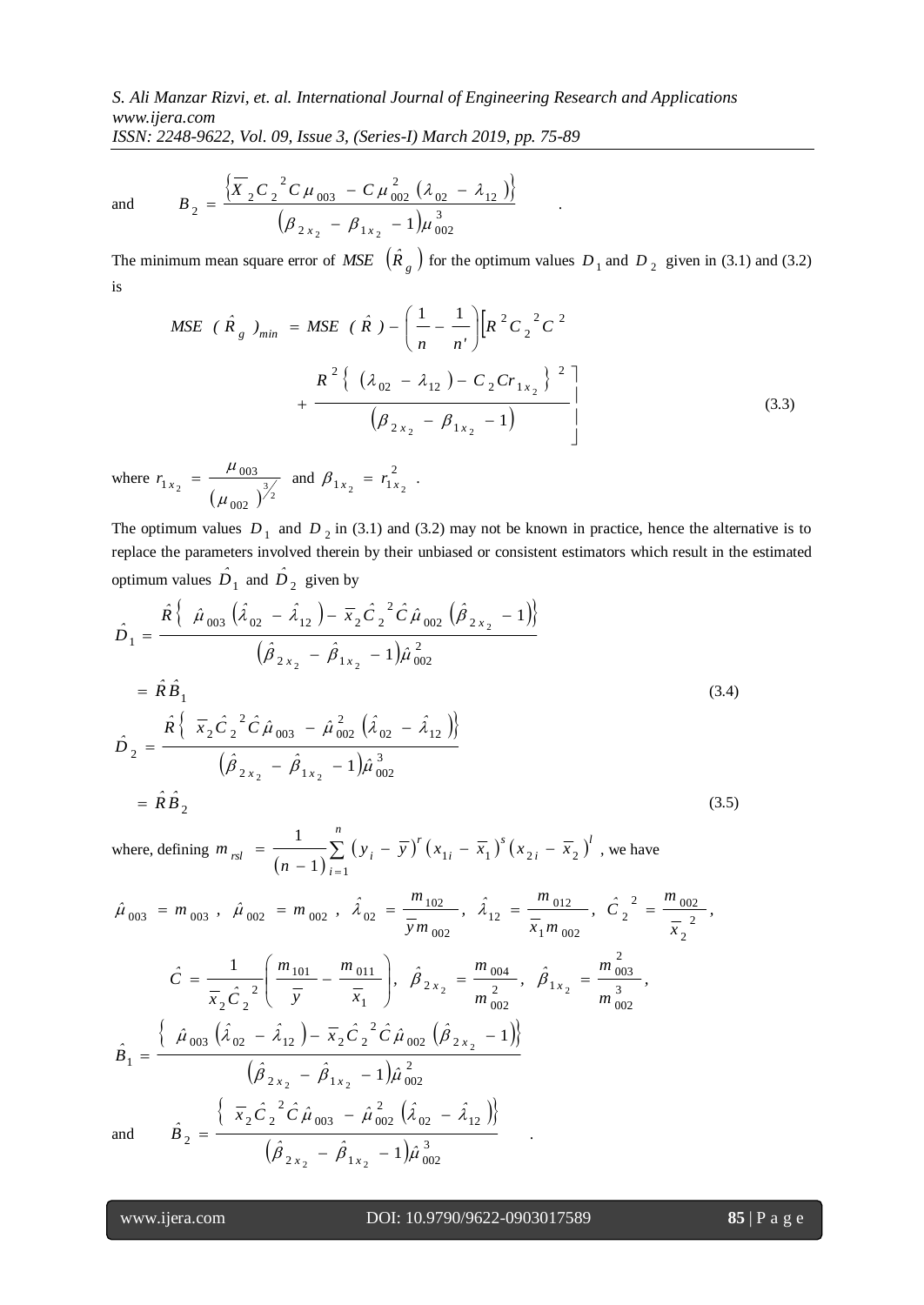*S. Ali Manzar Rizvi, et. al. International Journal of Engineering Research and Applications www.ijera.com*

*ISSN: 2248-9622, Vol. 09, Issue 3, (Series-I) March 2019, pp. 75-89*

and

$$
B_2 = \frac{\left\{\overline{X}_2 C_2^2 C \mu_{003} - C \mu_{002}^2 (\lambda_{02} - \lambda_{12})\right\}}{\left(\beta_{2x_2} - \beta_{1x_2} - 1\right) \mu_{002}^3}.
$$

The minimum mean square error of *MSE*  $(\hat{R}_g)$  for the optimum values  $D_1$  and  $D_2$  given in (3.1) and (3.2) is

$$
MSE \t (\hat{R}_g)_{min} = MSE \t (\hat{R}) - \left(\frac{1}{n} - \frac{1}{n'}\right) \left[R^2 C_2^2 C^2 + \frac{R^2 \left\{(\lambda_{02} - \lambda_{12}) - C_2 C r_{1x_2}\right\}^2\right]}{\left(\beta_{2x_2} - \beta_{1x_2} - 1\right)}
$$
\n(3.3)

where <sup>2</sup>  $(\mu_{002})^{\frac{3}{2}}$ 002 003 1  $\mu$  $r_{1x_2} = \frac{\mu_{003}}{1}$  and  $\beta_{1x_2} = r_{12}^2$  $\beta_{1 x_2} = r_{1 x_2}^2$ .

The optimum values  $D_1$  and  $D_2$  in (3.1) and (3.2) may not be known in practice, hence the alternative is to replace the parameters involved therein by their unbiased or consistent estimators which result in the estimated optimum values  $\hat{D}_1$  and  $\hat{D}_2$  given by

$$
\hat{D}_1 = \frac{\hat{R} \{ \hat{\mu}_{003} (\hat{\lambda}_{02} - \hat{\lambda}_{12}) - \bar{x}_2 \hat{C}_2^2 \hat{C} \hat{\mu}_{002} (\hat{\beta}_{2x_2} - 1) \}}{(\hat{\beta}_{2x_2} - \hat{\beta}_{1x_2} - 1) \hat{\mu}_{002}^2}
$$
\n
$$
= \hat{R} \hat{B}_1
$$
\n
$$
\hat{D}_2 = \frac{\hat{R} \{ \bar{x}_2 \hat{C}_2^2 \hat{C} \hat{\mu}_{003} - \hat{\mu}_{002}^2 (\hat{\lambda}_{02} - \hat{\lambda}_{12}) \}}{(\hat{\beta}_{2x_2} - \hat{\beta}_{1x_2} - 1) \hat{\mu}_{002}^3}
$$
\n
$$
= \hat{R} \hat{B}_2
$$
\n(3.5)

where, defining  $\frac{1}{(n-1)}\sum_{i=1}^{n} (y_i - \overline{y})^{\prime} (x_{1i} - \overline{x}_1)^{3} (x_{2i} - \overline{x}_2)$ =  $-\bar{y}$ )'  $(x_{1i} - \bar{x}_1)^3 (x_{2i} -$ - $=$ *n i l i s i r*  $\chi_{rsl} = \frac{1}{(x-1)^{2}} \sum_{i} (y_i - \overline{y})^{i} (x_{1i} - \overline{x_1})^{s} (x_{2i} - \overline{x_2})$ *n m* 1 1)  $\sum_{i=1}^{j} (y_i - y) (\lambda_{1i} - \lambda_1) (\lambda_{2i} - \lambda_2)$ 1 , we have

$$
\hat{\mu}_{003} = m_{003}, \quad \hat{\mu}_{002} = m_{002}, \quad \hat{\lambda}_{02} = \frac{m_{102}}{\bar{y}m_{002}}, \quad \hat{\lambda}_{12} = \frac{m_{012}}{\bar{x}_1m_{002}}, \quad \hat{C}_2^2 = \frac{m_{002}}{\bar{x}_2},
$$
\n
$$
\hat{C} = \frac{1}{\bar{x}_2\hat{C}_2^2} \left( \frac{m_{101}}{\bar{y}} - \frac{m_{011}}{\bar{x}_1} \right), \quad \hat{\beta}_{2x_2} = \frac{m_{004}}{m_{002}^2}, \quad \hat{\beta}_{1x_2} = \frac{m_{003}^2}{m_{002}^3},
$$
\n
$$
\hat{B}_1 = \frac{\left\{ \hat{\mu}_{003} \left( \hat{\lambda}_{02} - \hat{\lambda}_{12} \right) - \bar{x}_2 \hat{C}_2^2 \hat{C} \hat{\mu}_{002} \left( \hat{\beta}_{2x_2} - 1 \right) \right\}}{\left( \hat{\beta}_{2x_2} - \hat{\beta}_{1x_2} - 1 \right) \hat{\mu}_{002}^2}
$$
\nand\n
$$
\hat{B}_2 = \frac{\left\{ \bar{x}_2 \hat{C}_2^2 \hat{C} \hat{\mu}_{003} - \hat{\mu}_{002}^2 \left( \hat{\lambda}_{02} - \hat{\lambda}_{12} \right) \right\}}{\left( \hat{\beta}_{2x_2} - \hat{\beta}_{1x_2} - 1 \right) \hat{\mu}_{002}^3}
$$

and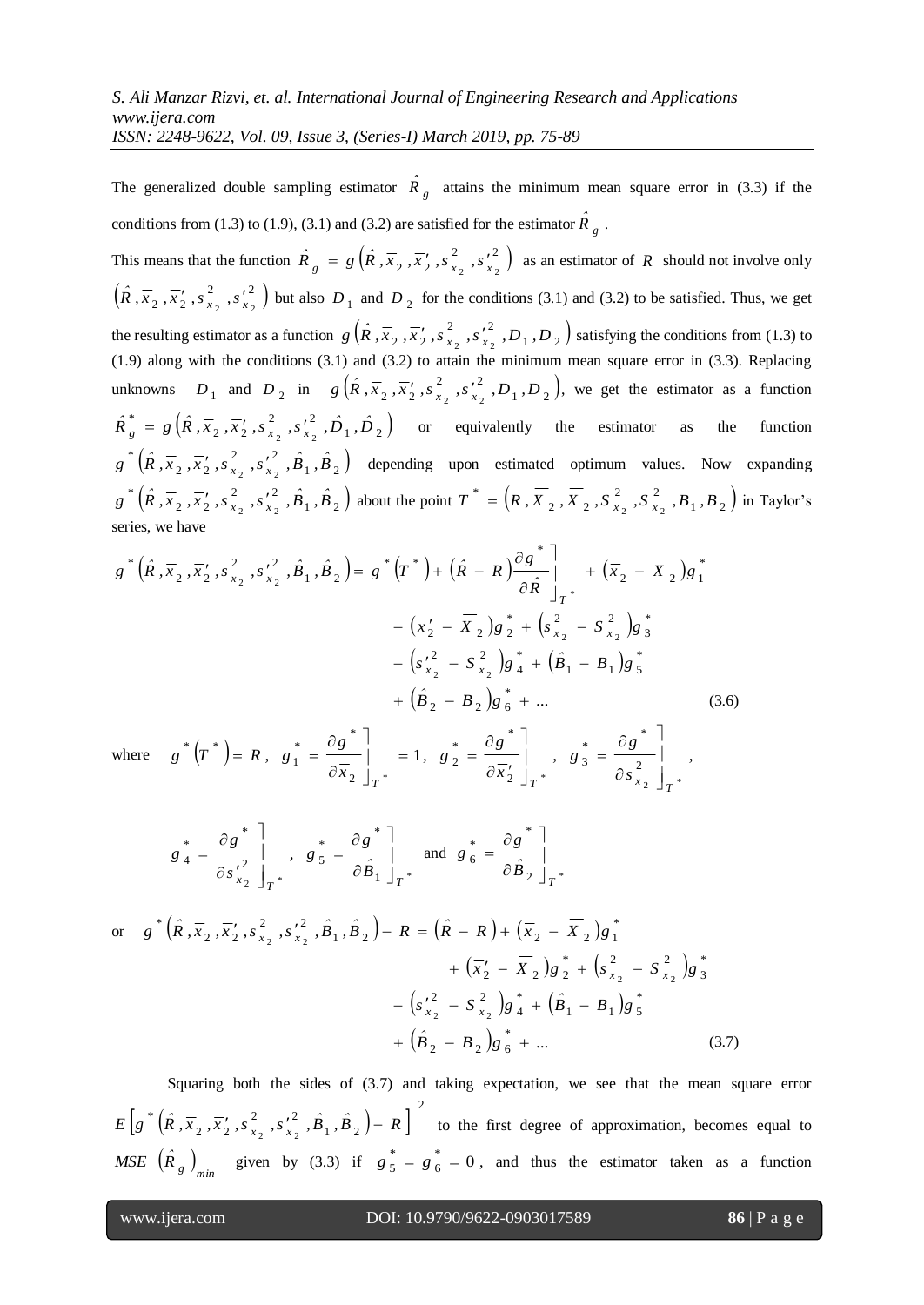The generalized double sampling estimator  $\hat{R}_g$  attains the minimum mean square error in (3.3) if the conditions from (1.3) to (1.9), (3.1) and (3.2) are satisfied for the estimator  $\hat{R}_g$ .

This means that the function  $\hat{R}_{a} = g\left(\hat{R}, \overline{x}_{2}, \overline{x}_{2}, s_{x}^{2}, s_{y}^{2}\right)$  $\hat{R}_g = g\left(\hat{R}, \overline{x}_2, \overline{x}_2', s_{x_2}^2, s_{x_2}^2\right)$  as an estimator of  $R$  should not involve only  $(\hat{R}, \overline{x}_2, \overline{x}'_2, s^2, s'^2)$  $\hat{R}$ ,  $\overline{x}_2$ ,  $\overline{x}_2'$ ,  $\overline{s}_{x_2}^2$ ,  $\overline{s}_{x_2}^2$  but also  $D_1$  and  $D_2$  for the conditions (3.1) and (3.2) to be satisfied. Thus, we get the resulting estimator as a function  $g\left(\hat{R}$ ,  $\overline{x}_2$ ,  $\overline{x}_2'$ ,  $s_{x_2}^2$ ,  $s_{x_2}^2$ ,  $s_{x_2}^2$ ,  $D_1$ ,  $D_2$ )  $g\left(\hat{R}, \overline{x}_2, \overline{x}_2', s_{x_2}^2, s_{x_2}^2, D_1, D_2\right)$  satisfying the conditions from (1.3) to (1.9) along with the conditions (3.1) and (3.2) to attain the minimum mean square error in (3.3). Replacing unknowns  $D_1$  and  $D_2$  in  $g(\hat{R}, \overline{x}_2, \overline{x}_2', s_{x_2}^2, s_{x_2}^2, D_1, D_2)$ ,  $g\left(\hat{R}, \overline{x}_2, \overline{x}_2', s_{x_2}^2, s_{x_2}^2, D_1, D_2\right)$ , we get the estimator as a function  $\left(\hat{R}, \overline{x}_2, \overline{x}_2', s_{x_2}^2, s_{x_2}^2, \hat{D}_1, \hat{D}_2\right)$  $\hat{R}^*_{g} = g\left(\hat{R}, \overline{x}_2, \overline{x}'_2, s^2_{x_2}, s'^2_{x_2}, \hat{D}_1, \hat{D}\right)$ *\**  $g_{g}$  =  $g\left(\hat{R}, \overline{x}_{2}, \overline{x}_{2}', s_{x_{2}}^{2}, s_{x_{2}}^{2}, \overrightarrow{D}_{1}, \overrightarrow{D}_{2}\right)$  or equivalently the estimator as the function  $\left(\hat{R}, \overline{x}_2, \overline{x}_2', s_{\overline{x}_2}, s_{\overline{x}_2}', \hat{B}_1, \hat{B}_2\right)$  $g^{*}(\hat{R}, \overline{x}_{2}, \overline{x}_{2}', s_{x_{2}}^{2}, s_{x_{2}}'^{2}, \hat{B}_{1}, \hat{B}_{2})$  depending upon estimated optimum values. Now expanding  $\left(\hat{R}, \overline{x}_2, \overline{x}_2', s_{\overline{x}_2}, s_{\overline{x}_2}', \hat{B}_1, \hat{B}_2\right)$  $g^* (\hat{R}, \overline{x}_2, \overline{x}_2', s_{x_2}^2, s_{x_2}^2, \hat{B}_1, \hat{B}_2)$  about the point  $T^* = (R, \overline{X}_2, \overline{X}_2, S_{x_2}^2, S_{x_2}^2, B_1, B_2)$  $T^* = (R, X_2, X_2, S_{x_2}^2, S_{x_2}^2, B_1, B_2)$  $^* = \left(R, \overline{X}_2, \overline{X}_2, S_x^2, S_x^2, B_x, B_y\right)$  in Taylor's series, we have

$$
g^*\left(\hat{R}, \overline{x}_2, \overline{x}_2', s_{x_2}^2, \hat{B}_1, \hat{B}_2\right) = g^*\left(T^*\right) + \left(\hat{R} - R\right) \frac{\partial g^*}{\partial \hat{R}}\Big|_{T^*} + \left(\overline{x}_2 - \overline{X}_2\right)g_1^* + \left(\overline{x}_2' - \overline{X}_2\right)g_2^* + \left(\overline{x}_2' - \overline{X}_2\right)g_2^* + \left(\overline{x}_2' - \overline{X}_2\right)g_3^* + \left(\overline{x}_2' - \overline{X}_2\right)g_3^* + \left(\overline{B}_1' - B_1\right)g_5^* + \left(\overline{B}_2 - B_2\right)g_6^* + \dots
$$
\n(3.6)

where  $g'(T) = R$ ,  $g_1 = \frac{g(0)}{T} = 1$ ,  $g_2 = \frac{g(0)}{T} = 1$ ,  $g_3 = \frac{g(0)}{T} = 1$ , *s g , g x g , g x g*  $g(T) = R$ ,  $g$ \*  $X_2 \perp T^*$   $US_{x_2} \perp T^*$ *\* \* T \* \* T \* \* \* \**  $\overline{\phantom{a}}$  $\overline{\phantom{a}}$  $\overline{\phantom{a}}$  $\overline{\phantom{a}}$  $\hat{o}$  $\hat{o}$  $\vert$ ,  $g_3$  =  $\frac{1}{2}$  $\overline{\phantom{a}}$  $\partial \overline{x}_2'$  $\partial$  $\vert$  = 1,  $g_2$  =  $\rfloor$  $\overline{\phantom{a}}$  $\hat{o}$  $\hat{o}$  $= R, g_1 = \frac{3R}{\pi}$   $= 1, g_2 = \frac{3R}{\pi}$  ,  $g_3 = \frac{3R}{\pi}$ 2 2 2 1 2 1

$$
g_{4}^{*} = \frac{\partial g^{*}}{\partial s_{x_{2}}} \bigg|_{T^{*}} , g_{5}^{*} = \frac{\partial g^{*}}{\partial \hat{B}_{1}} \bigg|_{T^{*}} \text{ and } g_{6}^{*} = \frac{\partial g^{*}}{\partial \hat{B}_{2}} \bigg|_{T^{*}}
$$

or 
$$
g^* (\hat{R}, \overline{x}_2, \overline{x}_2', s_{x_2}^2, \hat{B}_1, \hat{B}_2) - R = (\hat{R} - R) + (\overline{x}_2 - \overline{X}_2)g_1^*
$$
  
  $+ (\overline{x}_2' - \overline{X}_2)g_2^* + (s_{x_2}^2 - S_{x_2}^2)g_3^*$   
  $+ (s_{x_2}^2 - S_{x_2}^2)g_4^* + (\hat{B}_1 - B_1)g_5^*$   
  $+ (\hat{B}_2 - B_2)g_6^* + ...$  (3.7)

Squaring both the sides of (3.7) and taking expectation, we see that the mean square error  $|g|(R, \overline{x_2}, \overline{x'_2}, s'_1, s''_2, s''_2, B_1, B_2) - R|$ 2  $_1$ ,  $\boldsymbol{\nu}$ <sub>2</sub> 2 2  $E\left[g^*(\hat{R}, \overline{x}_2, \overline{x}_2', s_{x_2}^2, s_{x_2}^2, \hat{B}_1, \hat{B}_2) - R\right]$  to the first degree of approximation, becomes equal to *MSE*  $(\hat{R}_g)_{min}$  given by (3.3) if  $g^*_{5} = g^*_{6} = 0$ , and thus the estimator taken as a function

*\**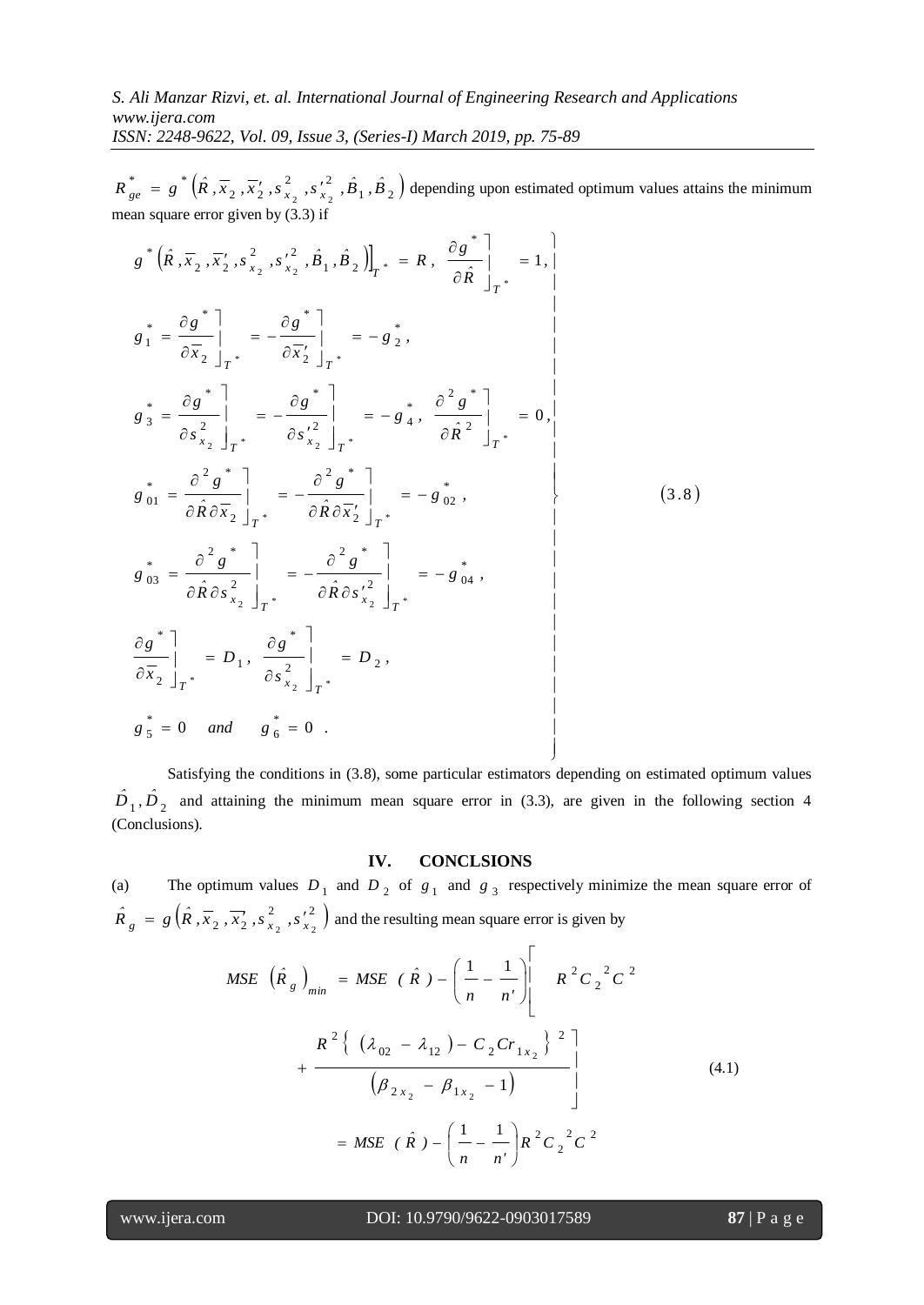2, 2  $R_{ge}^{*} = g^{*}(\hat{R}, \overline{x}_{2}, \overline{x}_{2}', s_{x_{2}}^{2}, s_{x_{2}}^{2}, \hat{B}_{1}, \hat{B}_{2})$  $\int_{ge^*}^{\infty}$  =  $g^*$   $(\hat{R}, \overline{x}_2, \overline{x}_2', s_{x_2}', s_{x_2}', \hat{B}_1, \hat{B}_2)$  depending upon estimated optimum values attains the minimum mean square error given by (3.3) if

$$
g_{se} = g^{-1}(R, \overline{x_2}, \overline{x'_2}, s_{x_2}^2, s_{x_2}^2, s_{x_2}^2, s_{x_2}^2, s_{x_2}^2, s_{x_2}^2, s_{x_2}^2, s_{x_2}^2, s_{x_2}^2, s_{x_2}^2, s_{x_2}^2, s_{x_2}^2, s_{x_2}^2, \hat{B}_1, \hat{B}_2) \Big|_{T^+} = R, \frac{\partial g^{+}}{\partial \hat{R}} \Big|_{T^+} = 1, \Big|
$$
  
\n
$$
g^{+} = \frac{\partial g^{+}}{\partial \overline{x_2}} \Big|_{T^+} = -\frac{\partial g^{+}}{\partial \overline{x_2}} \Big|_{T^+} = -g^{+}_{2}, \Big|_{T^+} = 1, \Big|
$$
  
\n
$$
g^{+}_{0} = \frac{\partial g^{+}}{\partial s_{x_2}^{2}} \Big|_{T^+} = -\frac{\partial g^{+}}{\partial s_{x_2}^{2}} \Big|_{T^+} = -g^{+}_{4}, \frac{\partial^2 g^{+}}{\partial \hat{R}} \Big|_{T^+} = 0, \Big|
$$
  
\n
$$
g^{+}_{01} = \frac{\partial^2 g^{+}}{\partial \hat{R} \partial \overline{x_2}} \Big|_{T^+} = -\frac{\partial^2 g^{+}}{\partial \hat{R} \partial \overline{x_2}^2} \Big|_{T^+} = -g^{+}_{02}, \Big|_{0} = 0, \Big|
$$
  
\n
$$
g^{+}_{03} = \frac{\partial^2 g^{+}}{\partial \hat{R} \partial s_{x_2}^{2}} \Big|_{T^+} = -\frac{\partial^2 g^{+}}{\partial \hat{R} \partial s_{x_2}^{2}} \Big|_{T^+} = -g^{+}_{00}, \Big|_{0} = 0, \Big|_{0} = 0, \Big|_{0} = 0, \Big|_{0} = 0, \Big|_{0} = 0, \Big|_{0} = 0, \Big|_{0} = 0, \Big|_{0} = 0, \Big|_{0} = 0, \Big|_{0} = 0, \Big|_{0} = 0, \Big|_{0} = 0, \Big|_{0} = 0, \Big|_{0} =
$$

Satisfying the conditions in (3.8), some particular estimators depending on estimated optimum values  $\hat{D}_1$ ,  $\hat{D}_2$  and attaining the minimum mean square error in (3.3), are given in the following section 4 (Conclusions).

#### **IV. CONCLSIONS**

(a) The optimum values  $D_1$  and  $D_2$  of  $g_1$  and  $g_3$  respectively minimize the mean square error of  $(\hat{R}, \overline{x}_2, \overline{x}_2', s_x^2, s_y^2)$  $\hat{R}_g = g\left(\hat{R}, \overline{x}_2, \overline{x}_2', s_{x_2}^2, s_{x_2}^2\right)$  and the resulting mean square error is given by

$$
MSE\left(\hat{R}_g\right)_{min} = MSE\left(\hat{R}\right) - \left(\frac{1}{n} - \frac{1}{n'}\right)\left[R^2C_2^2C^2 + \frac{R^2\left\{\left(\lambda_{02} - \lambda_{12}\right) - C_2Cr_{1x_2}\right\}^2\right]}{\left(\beta_{2x_2} - \beta_{1x_2} - 1\right)}\right]
$$
\n(4.1)\n
$$
= MSE\left(\hat{R}\right) - \left(\frac{1}{n} - \frac{1}{n'}\right)R^2C_2^2C^2
$$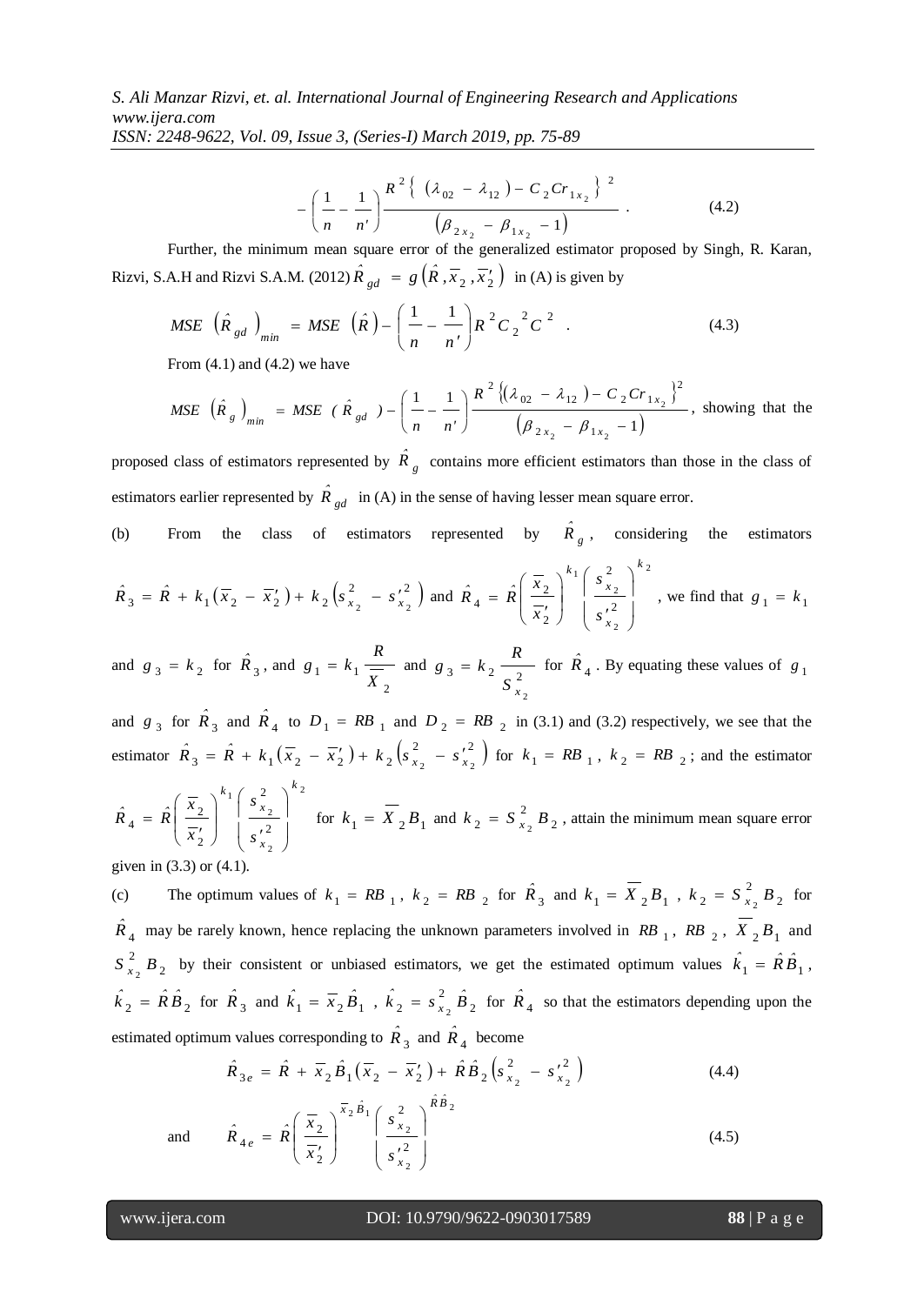*ISSN: 2248-9622, Vol. 09, Issue 3, (Series-I) March 2019, pp. 75-89*

$$
-\left(\frac{1}{n}-\frac{1}{n'}\right)\frac{R^2\left\{\left(\lambda_{02}-\lambda_{12}\right)-C_2Cr_{1x_2}\right\}^2}{\left(\beta_{2x_2}-\beta_{1x_2}-1\right)}\,.
$$
\n(4.2)

Further, the minimum mean square error of the generalized estimator proposed by Singh, R. Karan, Rizvi, S.A.H and Rizvi S.A.M. (2012)  $\hat{R}_{gd} = g\left(\hat{R}, \overline{x}_2, \overline{x}_2\right)$  in (A) is given by

$$
MSE\left(\hat{R}_{gd}\right)_{min} = MSE\left(\hat{R}\right) - \left(\frac{1}{n} - \frac{1}{n'}\right)R^2C_2^2C^2
$$
 (4.3)

From  $(4.1)$  and  $(4.2)$  we have

$$
MSE\left(\hat{R}_g\right)_{min} = MSE\left(\hat{R}_{gd}\right) - \left(\frac{1}{n} - \frac{1}{n'}\right)\frac{R^2\left\{( \lambda_{02} - \lambda_{12}) - C_2Cr_{1x_2} \right\}^2}{\left(\beta_{2x_2} - \beta_{1x_2} - 1\right)},
$$
 showing that the

proposed class of estimators represented by  $\hat{R}_g$  contains more efficient estimators than those in the class of estimators earlier represented by  $\hat{R}_{gd}$  in (A) in the sense of having lesser mean square error.

(b) From the class of estimators represented by  $\hat{R}_g$ , considering the estimators

$$
\hat{R}_3 = \hat{R} + k_1(\overline{x}_2 - \overline{x}_2') + k_2 \left(s_{x_2}^2 - s_{x_2}'^2\right) \text{ and } \hat{R}_4 = \hat{R} \left(\frac{\overline{x}_2}{\overline{x}_2'}\right)^{k_1} \left(\frac{s_{x_2}^2}{s_{x_2}'^2}\right)^{k_2}, \text{ we find that } g_1 = k_1
$$

and  $g_3 = k_2$  for  $\hat{R}_3$ , and 2  $1 - \frac{\kappa_1}{X}$ *R*  $g_1 = k_1 \frac{1}{Y}$  and  $g_3 = k_2 \frac{1}{Z}$ 2  $S\left(x\right)$ *R*  $g_3 = k_2 \frac{R}{r^2}$  for  $\hat{R}_4$ . By equating these values of  $g_1$ 

and  $g_3$  for  $\hat{R}_3$  and  $\hat{R}_4$  to  $D_1 = RB_1$  and  $D_2 = RB_2$  in (3.1) and (3.2) respectively, we see that the estimator  $\hat{R}_3 = \hat{R} + k_1(\overline{x}_2 - \overline{x}_2') + k_2(s_x^2 - s_x'^2)$  $\hat{R}_3 = \hat{R} + k_1(\bar{x}_2 - \bar{x}_2') + k_2(s_{\bar{x}_2}^2 - s_{\bar{x}_2}^{\prime^2})$  for  $k_1 = RB_{1}$ ,  $k_2 = RB_{2}$ ; and the estimator

$$
\hat{R}_4 = \hat{R} \left( \frac{\overline{x}_2}{\overline{x}_2'} \right)^{k_1} \left( \frac{s_{x_2}^2}{s_{x_2}'} \right)^{k_2}
$$
 for  $k_1 = \overline{X}_2 B_1$  and  $k_2 = S_{x_2}^2 B_2$ , attain the minimum mean square error

given in (3.3) or (4.1).

(c) The optimum values of  $k_1 = RB_1$ ,  $k_2 = RB_2$  for  $\hat{R}_3$  and  $k_1 = \overline{X}_2 B_1$ ,  $k_2 = \overline{S}_{x_2}^2 B_2$ 2  $k_2 = S_{x_2}^2 B_2$  for  $\hat{R}_4$  may be rarely known, hence replacing the unknown parameters involved in RB<sub>1</sub>, RB<sub>2</sub>,  $\overline{X}_2 B_1$  and 2 2  $S_{x_2}^2 B_2$  by their consistent or unbiased estimators, we get the estimated optimum values  $\hat{k}_1 = \hat{R}\hat{B}_1$ ,  $\hat{k}_2 = \hat{R}\hat{B}_2$  for  $\hat{R}_3$  and  $\hat{k}_1 = \overline{x}_2 \hat{B}_1$ ,  $\hat{k}_2 = s_{x_2}^2 \hat{B}_2$ 2  $\hat{k}_2 = s_{x_2}^2 \hat{B}_2$  for  $\hat{R}_4$  so that the estimators depending upon the estimated optimum values corresponding to  $\hat{R}_3$  and  $\hat{R}_4$  become

$$
\hat{R}_{3e} = \hat{R} + \overline{x}_2 \hat{B}_1 (\overline{x}_2 - \overline{x}_2') + \hat{R} \hat{B}_2 (s_{x_2}^2 - s_{x_2}'^2)
$$
\n(4.4)

and 
$$
\hat{R}_{4e} = \hat{R} \left( \frac{\overline{x}_2}{\overline{x}_2'} \right)^{\overline{x}_2 \hat{B}_1} \left( \frac{s_{x_2}^2}{s_{x_2}^2} \right)^{\hat{R}\hat{B}_2}
$$
 (4.5)